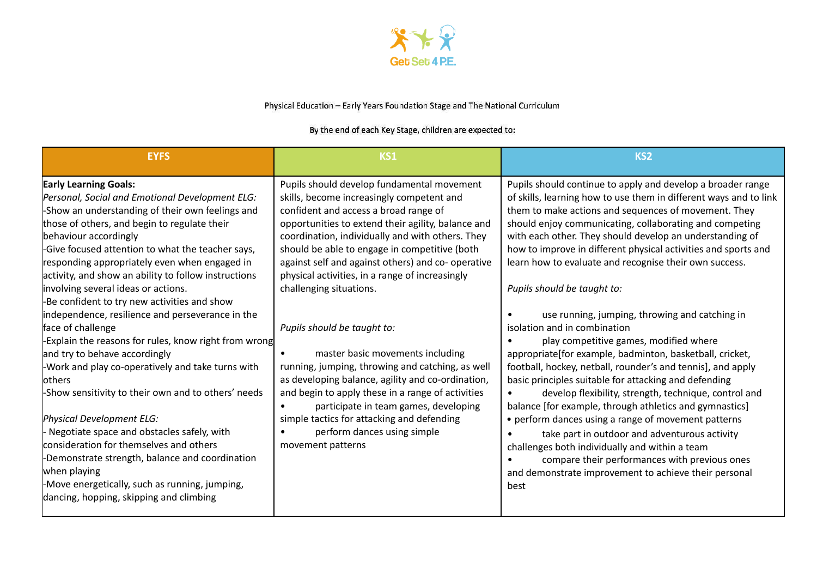

## Physical Education - Early Years Foundation Stage and The National Curriculum

## By the end of each Key Stage, children are expected to:

| <b>EYFS</b>                                                                                                                                                                                                                                                                                                                                                                                                                                                                                                                                                                                                                                                                                                                                                                                                                                                                                                                                                                                                                                       | KS1                                                                                                                                                                                                                                                                                                                                                                                                                                                                                                                                                                                                                                                                                                                                                                                                                      | KS <sub>2</sub>                                                                                                                                                                                                                                                                                                                                                                                                                                                                                                                                                                                                                                                                                                                                                                                                                                                                                                                                                                                                                                                                                                                                                                            |
|---------------------------------------------------------------------------------------------------------------------------------------------------------------------------------------------------------------------------------------------------------------------------------------------------------------------------------------------------------------------------------------------------------------------------------------------------------------------------------------------------------------------------------------------------------------------------------------------------------------------------------------------------------------------------------------------------------------------------------------------------------------------------------------------------------------------------------------------------------------------------------------------------------------------------------------------------------------------------------------------------------------------------------------------------|--------------------------------------------------------------------------------------------------------------------------------------------------------------------------------------------------------------------------------------------------------------------------------------------------------------------------------------------------------------------------------------------------------------------------------------------------------------------------------------------------------------------------------------------------------------------------------------------------------------------------------------------------------------------------------------------------------------------------------------------------------------------------------------------------------------------------|--------------------------------------------------------------------------------------------------------------------------------------------------------------------------------------------------------------------------------------------------------------------------------------------------------------------------------------------------------------------------------------------------------------------------------------------------------------------------------------------------------------------------------------------------------------------------------------------------------------------------------------------------------------------------------------------------------------------------------------------------------------------------------------------------------------------------------------------------------------------------------------------------------------------------------------------------------------------------------------------------------------------------------------------------------------------------------------------------------------------------------------------------------------------------------------------|
| <b>Early Learning Goals:</b><br>Personal, Social and Emotional Development ELG:<br>-Show an understanding of their own feelings and<br>those of others, and begin to regulate their<br>behaviour accordingly<br>-Give focused attention to what the teacher says,<br>responding appropriately even when engaged in<br>activity, and show an ability to follow instructions<br>involving several ideas or actions.<br>-Be confident to try new activities and show<br>independence, resilience and perseverance in the<br>face of challenge<br>-Explain the reasons for rules, know right from wrong<br>and try to behave accordingly<br>-Work and play co-operatively and take turns with<br>lothers<br>-Show sensitivity to their own and to others' needs<br>Physical Development ELG:<br>Negotiate space and obstacles safely, with<br>consideration for themselves and others<br>-Demonstrate strength, balance and coordination<br>when playing<br>-Move energetically, such as running, jumping,<br>dancing, hopping, skipping and climbing | Pupils should develop fundamental movement<br>skills, become increasingly competent and<br>confident and access a broad range of<br>opportunities to extend their agility, balance and<br>coordination, individually and with others. They<br>should be able to engage in competitive (both<br>against self and against others) and co- operative<br>physical activities, in a range of increasingly<br>challenging situations.<br>Pupils should be taught to:<br>master basic movements including<br>running, jumping, throwing and catching, as well<br>as developing balance, agility and co-ordination,<br>and begin to apply these in a range of activities<br>participate in team games, developing<br>$\bullet$<br>simple tactics for attacking and defending<br>perform dances using simple<br>movement patterns | Pupils should continue to apply and develop a broader range<br>of skills, learning how to use them in different ways and to link<br>them to make actions and sequences of movement. They<br>should enjoy communicating, collaborating and competing<br>with each other. They should develop an understanding of<br>how to improve in different physical activities and sports and<br>learn how to evaluate and recognise their own success.<br>Pupils should be taught to:<br>use running, jumping, throwing and catching in<br>isolation and in combination<br>play competitive games, modified where<br>appropriate[for example, badminton, basketball, cricket,<br>football, hockey, netball, rounder's and tennis], and apply<br>basic principles suitable for attacking and defending<br>develop flexibility, strength, technique, control and<br>balance [for example, through athletics and gymnastics]<br>• perform dances using a range of movement patterns<br>take part in outdoor and adventurous activity<br>challenges both individually and within a team<br>compare their performances with previous ones<br>and demonstrate improvement to achieve their personal<br>best |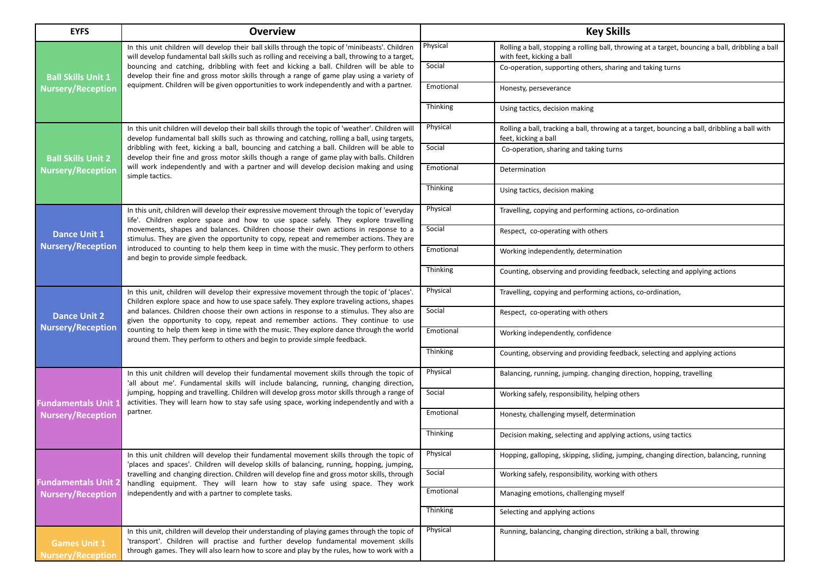| <b>EYFS</b>                                            | <b>Overview</b>                                                                                                                                                                                                                                                                                                                                                                                                                                                                                                                                    |                 | <b>Key Skills</b>                                                                                                             |
|--------------------------------------------------------|----------------------------------------------------------------------------------------------------------------------------------------------------------------------------------------------------------------------------------------------------------------------------------------------------------------------------------------------------------------------------------------------------------------------------------------------------------------------------------------------------------------------------------------------------|-----------------|-------------------------------------------------------------------------------------------------------------------------------|
|                                                        | In this unit children will develop their ball skills through the topic of 'minibeasts'. Children<br>will develop fundamental ball skills such as rolling and receiving a ball, throwing to a target,<br>bouncing and catching, dribbling with feet and kicking a ball. Children will be able to<br>develop their fine and gross motor skills through a range of game play using a variety of                                                                                                                                                       | Physical        | Rolling a ball, stopping a rolling ball, throwing at a target, bouncing a ball, dribbling a ball<br>with feet, kicking a ball |
| <b>Ball Skills Unit 1</b>                              |                                                                                                                                                                                                                                                                                                                                                                                                                                                                                                                                                    | Social          | Co-operation, supporting others, sharing and taking turns                                                                     |
| <b>Nursery/Reception</b>                               | equipment. Children will be given opportunities to work independently and with a partner.                                                                                                                                                                                                                                                                                                                                                                                                                                                          | Emotional       | Honesty, perseverance                                                                                                         |
|                                                        |                                                                                                                                                                                                                                                                                                                                                                                                                                                                                                                                                    | <b>Thinking</b> | Using tactics, decision making                                                                                                |
|                                                        | In this unit children will develop their ball skills through the topic of 'weather'. Children will<br>develop fundamental ball skills such as throwing and catching, rolling a ball, using targets,                                                                                                                                                                                                                                                                                                                                                | Physical        | Rolling a ball, tracking a ball, throwing at a target, bouncing a ball, dribbling a ball with<br>feet, kicking a ball         |
| <b>Ball Skills Unit 2</b>                              | dribbling with feet, kicking a ball, bouncing and catching a ball. Children will be able to<br>develop their fine and gross motor skills though a range of game play with balls. Children                                                                                                                                                                                                                                                                                                                                                          | Social          | Co-operation, sharing and taking turns                                                                                        |
| <b>Nursery/Reception</b>                               | will work independently and with a partner and will develop decision making and using<br>simple tactics.                                                                                                                                                                                                                                                                                                                                                                                                                                           | Emotional       | Determination                                                                                                                 |
|                                                        |                                                                                                                                                                                                                                                                                                                                                                                                                                                                                                                                                    | Thinking        | Using tactics, decision making                                                                                                |
|                                                        | In this unit, children will develop their expressive movement through the topic of 'everyday<br>life'. Children explore space and how to use space safely. They explore travelling                                                                                                                                                                                                                                                                                                                                                                 | Physical        | Travelling, copying and performing actions, co-ordination                                                                     |
| <b>Dance Unit 1</b>                                    | movements, shapes and balances. Children choose their own actions in response to a<br>stimulus. They are given the opportunity to copy, repeat and remember actions. They are                                                                                                                                                                                                                                                                                                                                                                      | Social          | Respect, co-operating with others                                                                                             |
| <b>Nursery/Reception</b>                               | introduced to counting to help them keep in time with the music. They perform to others<br>and begin to provide simple feedback.                                                                                                                                                                                                                                                                                                                                                                                                                   | Emotional       | Working independently, determination                                                                                          |
|                                                        |                                                                                                                                                                                                                                                                                                                                                                                                                                                                                                                                                    | Thinking        | Counting, observing and providing feedback, selecting and applying actions                                                    |
|                                                        | In this unit, children will develop their expressive movement through the topic of 'places'.<br>Children explore space and how to use space safely. They explore traveling actions, shapes<br>and balances. Children choose their own actions in response to a stimulus. They also are<br>given the opportunity to copy, repeat and remember actions. They continue to use<br>counting to help them keep in time with the music. They explore dance through the world<br>around them. They perform to others and begin to provide simple feedback. | Physical        | Travelling, copying and performing actions, co-ordination,                                                                    |
| <b>Dance Unit 2</b>                                    |                                                                                                                                                                                                                                                                                                                                                                                                                                                                                                                                                    | Social          | Respect, co-operating with others                                                                                             |
| <b>Nursery/Reception</b>                               |                                                                                                                                                                                                                                                                                                                                                                                                                                                                                                                                                    | Emotional       | Working independently, confidence                                                                                             |
|                                                        |                                                                                                                                                                                                                                                                                                                                                                                                                                                                                                                                                    | Thinking        | Counting, observing and providing feedback, selecting and applying actions                                                    |
|                                                        | In this unit children will develop their fundamental movement skills through the topic of<br>'all about me'. Fundamental skills will include balancing, running, changing direction,<br>jumping, hopping and travelling. Children will develop gross motor skills through a range of<br>activities. They will learn how to stay safe using space, working independently and with a<br>partner.                                                                                                                                                     | Physical        | Balancing, running, jumping. changing direction, hopping, travelling                                                          |
| <b>Fundamentals Unit:</b>                              |                                                                                                                                                                                                                                                                                                                                                                                                                                                                                                                                                    | Social          | Working safely, responsibility, helping others                                                                                |
| <b>Nursery/Reception</b>                               |                                                                                                                                                                                                                                                                                                                                                                                                                                                                                                                                                    | Emotional       | Honesty, challenging myself, determination                                                                                    |
|                                                        |                                                                                                                                                                                                                                                                                                                                                                                                                                                                                                                                                    | <b>Thinking</b> | Decision making, selecting and applying actions, using tactics                                                                |
|                                                        | In this unit children will develop their fundamental movement skills through the topic of<br>'places and spaces'. Children will develop skills of balancing, running, hopping, jumping,                                                                                                                                                                                                                                                                                                                                                            | Physical        | Hopping, galloping, skipping, sliding, jumping, changing direction, balancing, running                                        |
| <b>Fundamentals Unit 2</b><br><b>Nursery/Reception</b> | travelling and changing direction. Children will develop fine and gross motor skills, through<br>handling equipment. They will learn how to stay safe using space. They work                                                                                                                                                                                                                                                                                                                                                                       | Social          | Working safely, responsibility, working with others                                                                           |
|                                                        | independently and with a partner to complete tasks.                                                                                                                                                                                                                                                                                                                                                                                                                                                                                                | Emotional       | Managing emotions, challenging myself                                                                                         |
|                                                        |                                                                                                                                                                                                                                                                                                                                                                                                                                                                                                                                                    | Thinking        | Selecting and applying actions                                                                                                |
| <b>Games Unit 1</b>                                    | In this unit, children will develop their understanding of playing games through the topic of<br>'transport'. Children will practise and further develop fundamental movement skills                                                                                                                                                                                                                                                                                                                                                               | Physical        | Running, balancing, changing direction, striking a ball, throwing                                                             |
| <b>Jursery/Receptior</b>                               | through games. They will also learn how to score and play by the rules, how to work with a                                                                                                                                                                                                                                                                                                                                                                                                                                                         |                 |                                                                                                                               |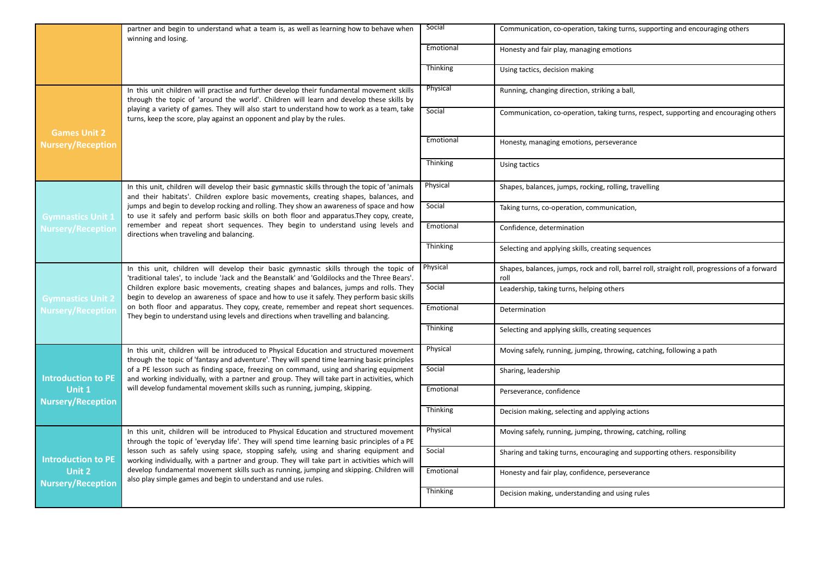|                                                                        | partner and begin to understand what a team is, as well as learning how to behave when<br>winning and losing.                                                                           | Social          | Communication, co-operation, taking turns, supporting and encouraging others                          |
|------------------------------------------------------------------------|-----------------------------------------------------------------------------------------------------------------------------------------------------------------------------------------|-----------------|-------------------------------------------------------------------------------------------------------|
|                                                                        |                                                                                                                                                                                         | Emotional       | Honesty and fair play, managing emotions                                                              |
|                                                                        |                                                                                                                                                                                         | <b>Thinking</b> | Using tactics, decision making                                                                        |
|                                                                        | In this unit children will practise and further develop their fundamental movement skills<br>through the topic of 'around the world'. Children will learn and develop these skills by   | Physical        | Running, changing direction, striking a ball,                                                         |
| <b>Games Unit 2</b>                                                    | playing a variety of games. They will also start to understand how to work as a team, take<br>turns, keep the score, play against an opponent and play by the rules.                    | Social          | Communication, co-operation, taking turns, respect, supporting and encouraging others                 |
| <b>Nursery/Reception</b>                                               |                                                                                                                                                                                         | Emotional       | Honesty, managing emotions, perseverance                                                              |
|                                                                        |                                                                                                                                                                                         | Thinking        | Using tactics                                                                                         |
|                                                                        | In this unit, children will develop their basic gymnastic skills through the topic of 'animals<br>and their habitats'. Children explore basic movements, creating shapes, balances, and | Physical        | Shapes, balances, jumps, rocking, rolling, travelling                                                 |
| <b>Gymnastics Unit 1</b>                                               | jumps and begin to develop rocking and rolling. They show an awareness of space and how<br>to use it safely and perform basic skills on both floor and apparatus. They copy, create,    | Social          | Taking turns, co-operation, communication,                                                            |
| <b>Nursery/Reception</b>                                               | remember and repeat short sequences. They begin to understand using levels and<br>directions when traveling and balancing.                                                              | Emotional       | Confidence, determination                                                                             |
|                                                                        |                                                                                                                                                                                         | Thinking        | Selecting and applying skills, creating sequences                                                     |
|                                                                        | In this unit, children will develop their basic gymnastic skills through the topic of<br>'traditional tales', to include 'Jack and the Beanstalk' and 'Goldilocks and the Three Bears'. | Physical        | Shapes, balances, jumps, rock and roll, barrel roll, straight roll, progressions of a forward<br>roll |
| <b>Gymnastics Unit 2</b>                                               | Children explore basic movements, creating shapes and balances, jumps and rolls. They<br>begin to develop an awareness of space and how to use it safely. They perform basic skills     | Social          | Leadership, taking turns, helping others                                                              |
| <b>Nursery/Reception</b>                                               | on both floor and apparatus. They copy, create, remember and repeat short sequences.<br>They begin to understand using levels and directions when travelling and balancing.             | Emotional       | Determination                                                                                         |
|                                                                        |                                                                                                                                                                                         | Thinking        | Selecting and applying skills, creating sequences                                                     |
|                                                                        | In this unit, children will be introduced to Physical Education and structured movement<br>through the topic of 'fantasy and adventure'. They will spend time learning basic principles | Physical        | Moving safely, running, jumping, throwing, catching, following a path                                 |
| <b>Introduction to PE</b>                                              | of a PE lesson such as finding space, freezing on command, using and sharing equipment<br>and working individually, with a partner and group. They will take part in activities, which  | Social          | Sharing, leadership                                                                                   |
| Unit 1<br><b>Nursery/Reception</b>                                     | will develop fundamental movement skills such as running, jumping, skipping.                                                                                                            | Emotional       | Perseverance, confidence                                                                              |
|                                                                        |                                                                                                                                                                                         | Thinking        | Decision making, selecting and applying actions                                                       |
|                                                                        | In this unit, children will be introduced to Physical Education and structured movement<br>through the topic of 'everyday life'. They will spend time learning basic principles of a PE | Physical        | Moving safely, running, jumping, throwing, catching, rolling                                          |
| <b>Introduction to PE</b><br><b>Unit 2</b><br><b>Nursery/Reception</b> | lesson such as safely using space, stopping safely, using and sharing equipment and<br>working individually, with a partner and group. They will take part in activities which will     | Social          | Sharing and taking turns, encouraging and supporting others. responsibility                           |
|                                                                        | develop fundamental movement skills such as running, jumping and skipping. Children will<br>also play simple games and begin to understand and use rules.                               | Emotional       | Honesty and fair play, confidence, perseverance                                                       |
|                                                                        |                                                                                                                                                                                         | Thinking        | Decision making, understanding and using rules                                                        |
|                                                                        |                                                                                                                                                                                         |                 |                                                                                                       |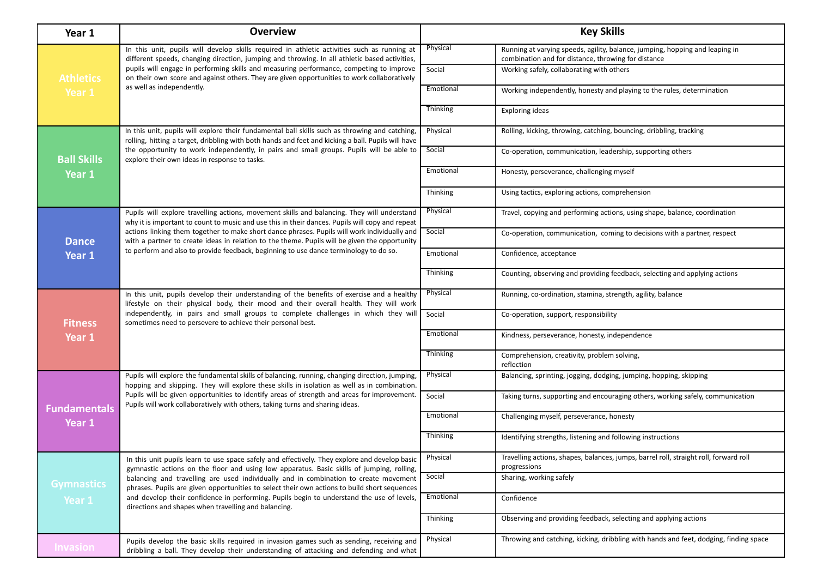| Year 1              | <b>Overview</b>                                                                                                                                                                                      | <b>Key Skills</b> |                                                                                                                                     |
|---------------------|------------------------------------------------------------------------------------------------------------------------------------------------------------------------------------------------------|-------------------|-------------------------------------------------------------------------------------------------------------------------------------|
|                     | In this unit, pupils will develop skills required in athletic activities such as running at<br>different speeds, changing direction, jumping and throwing. In all athletic based activities,         | Physical          | Running at varying speeds, agility, balance, jumping, hopping and leaping in<br>combination and for distance, throwing for distance |
| <b>Athletics</b>    | pupils will engage in performing skills and measuring performance, competing to improve<br>on their own score and against others. They are given opportunities to work collaboratively               | Social            | Working safely, collaborating with others                                                                                           |
| Year 1              | as well as independently.                                                                                                                                                                            | Emotional         | Working independently, honesty and playing to the rules, determination                                                              |
|                     |                                                                                                                                                                                                      | Thinking          | <b>Exploring ideas</b>                                                                                                              |
|                     | In this unit, pupils will explore their fundamental ball skills such as throwing and catching,<br>rolling, hitting a target, dribbling with both hands and feet and kicking a ball. Pupils will have | Physical          | Rolling, kicking, throwing, catching, bouncing, dribbling, tracking                                                                 |
| <b>Ball Skills</b>  | the opportunity to work independently, in pairs and small groups. Pupils will be able to<br>explore their own ideas in response to tasks.                                                            | Social            | Co-operation, communication, leadership, supporting others                                                                          |
| Year 1              |                                                                                                                                                                                                      | Emotional         | Honesty, perseverance, challenging myself                                                                                           |
|                     |                                                                                                                                                                                                      | Thinking          | Using tactics, exploring actions, comprehension                                                                                     |
|                     | Pupils will explore travelling actions, movement skills and balancing. They will understand<br>why it is important to count to music and use this in their dances. Pupils will copy and repeat       | Physical          | Travel, copying and performing actions, using shape, balance, coordination                                                          |
| <b>Dance</b>        | actions linking them together to make short dance phrases. Pupils will work individually and<br>with a partner to create ideas in relation to the theme. Pupils will be given the opportunity        | Social            | Co-operation, communication, coming to decisions with a partner, respect                                                            |
| Year 1              | to perform and also to provide feedback, beginning to use dance terminology to do so.                                                                                                                | Emotional         | Confidence, acceptance                                                                                                              |
|                     |                                                                                                                                                                                                      | Thinking          | Counting, observing and providing feedback, selecting and applying actions                                                          |
|                     | In this unit, pupils develop their understanding of the benefits of exercise and a healthy<br>lifestyle on their physical body, their mood and their overall health. They will work                  | Physical          | Running, co-ordination, stamina, strength, agility, balance                                                                         |
| <b>Fitness</b>      | independently, in pairs and small groups to complete challenges in which they will<br>sometimes need to persevere to achieve their personal best.                                                    | Social            | Co-operation, support, responsibility                                                                                               |
| Year 1              |                                                                                                                                                                                                      | Emotional         | Kindness, perseverance, honesty, independence                                                                                       |
|                     |                                                                                                                                                                                                      | Thinking          | Comprehension, creativity, problem solving,<br>reflection                                                                           |
|                     | Pupils will explore the fundamental skills of balancing, running, changing direction, jumping,<br>hopping and skipping. They will explore these skills in isolation as well as in combination.       | Physical          | Balancing, sprinting, jogging, dodging, jumping, hopping, skipping                                                                  |
| <b>Fundamentals</b> | Pupils will be given opportunities to identify areas of strength and areas for improvement.<br>Pupils will work collaboratively with others, taking turns and sharing ideas.                         | Social            | Taking turns, supporting and encouraging others, working safely, communication                                                      |
| Year 1              |                                                                                                                                                                                                      | Emotional         | Challenging myself, perseverance, honesty                                                                                           |
|                     |                                                                                                                                                                                                      | Thinking          | Identifying strengths, listening and following instructions                                                                         |
|                     | In this unit pupils learn to use space safely and effectively. They explore and develop basic<br>gymnastic actions on the floor and using low apparatus. Basic skills of jumping, rolling,           | Physical          | Travelling actions, shapes, balances, jumps, barrel roll, straight roll, forward roll<br>progressions                               |
| <b>Gymnastics</b>   | balancing and travelling are used individually and in combination to create movement<br>phrases. Pupils are given opportunities to select their own actions to build short sequences                 | Social            | Sharing, working safely                                                                                                             |
| Year 1              | and develop their confidence in performing. Pupils begin to understand the use of levels,<br>directions and shapes when travelling and balancing.                                                    | Emotional         | Confidence                                                                                                                          |
|                     |                                                                                                                                                                                                      | Thinking          | Observing and providing feedback, selecting and applying actions                                                                    |
| <b>Invasion</b>     | Pupils develop the basic skills required in invasion games such as sending, receiving and<br>dribbling a ball. They develop their understanding of attacking and defending and what                  | Physical          | Throwing and catching, kicking, dribbling with hands and feet, dodging, finding space                                               |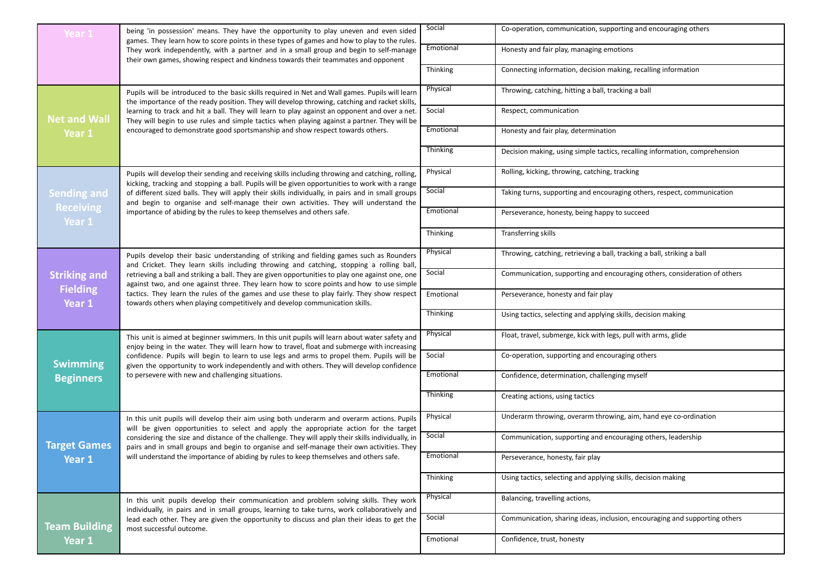| Year 1                                | being 'in possession' means. They have the opportunity to play uneven and even sided<br>games. They learn how to score points in these types of games and how to play to the rules.                | Social    | Co-operation, communication, supporting and encouraging others              |
|---------------------------------------|----------------------------------------------------------------------------------------------------------------------------------------------------------------------------------------------------|-----------|-----------------------------------------------------------------------------|
|                                       | They work independently, with a partner and in a small group and begin to self-manage<br>their own games, showing respect and kindness towards their teammates and opponent                        | Emotional | Honesty and fair play, managing emotions                                    |
|                                       |                                                                                                                                                                                                    | Thinking  | Connecting information, decision making, recalling information              |
|                                       | Pupils will be introduced to the basic skills required in Net and Wall games. Pupils will learn<br>the importance of the ready position. They will develop throwing, catching and racket skills,   | Physical  | Throwing, catching, hitting a ball, tracking a ball                         |
| <b>Net and Wall</b>                   | learning to track and hit a ball. They will learn to play against an opponent and over a net.<br>They will begin to use rules and simple tactics when playing against a partner. They will be      | Social    | Respect, communication                                                      |
| Year 1                                | encouraged to demonstrate good sportsmanship and show respect towards others.                                                                                                                      | Emotional | Honesty and fair play, determination                                        |
|                                       |                                                                                                                                                                                                    | Thinking  | Decision making, using simple tactics, recalling information, comprehension |
|                                       | Pupils will develop their sending and receiving skills including throwing and catching, rolling,<br>kicking, tracking and stopping a ball. Pupils will be given opportunities to work with a range | Physical  | Rolling, kicking, throwing, catching, tracking                              |
| <b>Sending and</b>                    | of different sized balls. They will apply their skills individually, in pairs and in small groups<br>and begin to organise and self-manage their own activities. They will understand the          | Social    | Taking turns, supporting and encouraging others, respect, communication     |
| <b>Receiving</b><br>Year <sub>1</sub> | importance of abiding by the rules to keep themselves and others safe.                                                                                                                             | Emotional | Perseverance, honesty, being happy to succeed                               |
|                                       |                                                                                                                                                                                                    | Thinking  | Transferring skills                                                         |
|                                       | Pupils develop their basic understanding of striking and fielding games such as Rounders<br>and Cricket. They learn skills including throwing and catching, stopping a rolling ball,               | Physical  | Throwing, catching, retrieving a ball, tracking a ball, striking a ball     |
| <b>Striking and</b>                   | retrieving a ball and striking a ball. They are given opportunities to play one against one, one<br>against two, and one against three. They learn how to score points and how to use simple       | Social    | Communication, supporting and encouraging others, consideration of others   |
| <b>Fielding</b><br>Year 1             | tactics. They learn the rules of the games and use these to play fairly. They show respect<br>towards others when playing competitively and develop communication skills.                          | Emotional | Perseverance, honesty and fair play                                         |
|                                       |                                                                                                                                                                                                    | Thinking  | Using tactics, selecting and applying skills, decision making               |
|                                       | This unit is aimed at beginner swimmers. In this unit pupils will learn about water safety and<br>enjoy being in the water. They will learn how to travel, float and submerge with increasing      | Physical  | Float, travel, submerge, kick with legs, pull with arms, glide              |
| <b>Swimming</b>                       | confidence. Pupils will begin to learn to use legs and arms to propel them. Pupils will be<br>given the opportunity to work independently and with others. They will develop confidence            | Social    | Co-operation, supporting and encouraging others                             |
| <b>Beginners</b>                      | to persevere with new and challenging situations.                                                                                                                                                  | Emotional | Confidence, determination, challenging myself                               |
|                                       |                                                                                                                                                                                                    | Thinking  | Creating actions, using tactics                                             |
|                                       | In this unit pupils will develop their aim using both underarm and overarm actions. Pupils<br>will be given opportunities to select and apply the appropriate action for the target                | Physical  | Underarm throwing, overarm throwing, aim, hand eye co-ordination            |
| <b>Target Games</b>                   | considering the size and distance of the challenge. They will apply their skills individually, in<br>pairs and in small groups and begin to organise and self-manage their own activities. They    | Social    | Communication, supporting and encouraging others, leadership                |
| Year 1                                | will understand the importance of abiding by rules to keep themselves and others safe.                                                                                                             | Emotional | Perseverance, honesty, fair play                                            |
|                                       |                                                                                                                                                                                                    | Thinking  | Using tactics, selecting and applying skills, decision making               |
|                                       | In this unit pupils develop their communication and problem solving skills. They work<br>individually, in pairs and in small groups, learning to take turns, work collaboratively and              | Physical  | Balancing, travelling actions,                                              |
| <b>Team Building</b>                  | lead each other. They are given the opportunity to discuss and plan their ideas to get the<br>most successful outcome.                                                                             | Social    | Communication, sharing ideas, inclusion, encouraging and supporting others  |
| Year 1                                |                                                                                                                                                                                                    | Emotional | Confidence, trust, honesty                                                  |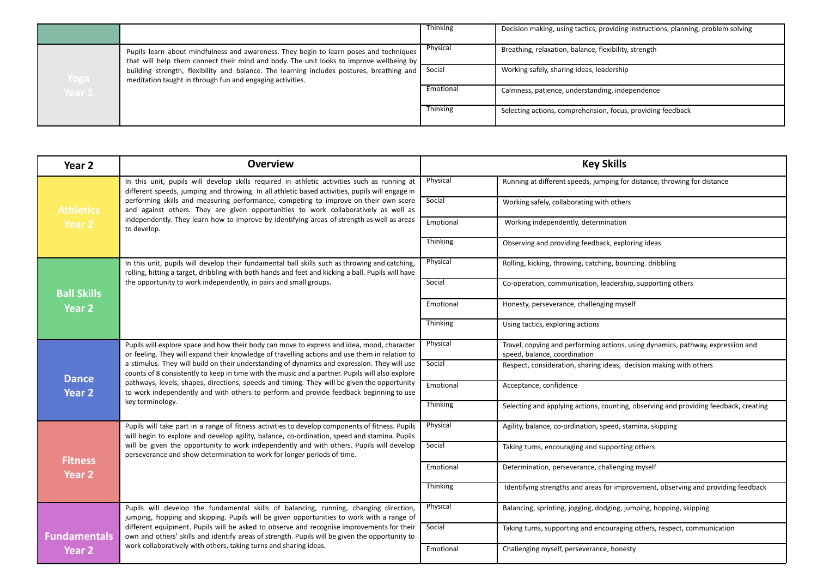|        |                                                                                                                                                                                   | Thinking  | Decision making, using tactics, providing instructions, planning, problem solving |
|--------|-----------------------------------------------------------------------------------------------------------------------------------------------------------------------------------|-----------|-----------------------------------------------------------------------------------|
|        | Pupils learn about mindfulness and awareness. They begin to learn poses and techniques<br>that will help them connect their mind and body. The unit looks to improve wellbeing by | Physical  | Breathing, relaxation, balance, flexibility, strength                             |
| Yoga   | building strength, flexibility and balance. The learning includes postures, breathing and<br>meditation taught in through fun and engaging activities.                            | Social    | Working safely, sharing ideas, leadership                                         |
| Year 1 |                                                                                                                                                                                   | Emotional | Calmness, patience, understanding, independence                                   |
|        |                                                                                                                                                                                   | Thinking  | Selecting actions, comprehension, focus, providing feedback                       |

| Year 2              | <b>Overview</b>                                                                                                                                                                                      | <b>Key Skills</b> |                                                                                                                 |
|---------------------|------------------------------------------------------------------------------------------------------------------------------------------------------------------------------------------------------|-------------------|-----------------------------------------------------------------------------------------------------------------|
|                     | In this unit, pupils will develop skills required in athletic activities such as running at<br>different speeds, jumping and throwing. In all athletic based activities, pupils will engage in       | Physical          | Running at different speeds, jumping for distance, throwing for distance                                        |
| <b>Athletics</b>    | performing skills and measuring performance, competing to improve on their own score<br>and against others. They are given opportunities to work collaboratively as well as                          | Social            | Working safely, collaborating with others                                                                       |
| Year 2              | independently. They learn how to improve by identifying areas of strength as well as areas<br>to develop.                                                                                            | Emotional         | Working independently, determination                                                                            |
|                     |                                                                                                                                                                                                      | Thinking          | Observing and providing feedback, exploring ideas                                                               |
|                     | In this unit, pupils will develop their fundamental ball skills such as throwing and catching,<br>rolling, hitting a target, dribbling with both hands and feet and kicking a ball. Pupils will have | Physical          | Rolling, kicking, throwing, catching, bouncing. dribbling                                                       |
| <b>Ball Skills</b>  | the opportunity to work independently, in pairs and small groups.                                                                                                                                    | Social            | Co-operation, communication, leadership, supporting others                                                      |
| <b>Year 2</b>       |                                                                                                                                                                                                      | Emotional         | Honesty, perseverance, challenging myself                                                                       |
|                     |                                                                                                                                                                                                      | Thinking          | Using tactics, exploring actions                                                                                |
|                     | Pupils will explore space and how their body can move to express and idea, mood, character<br>or feeling. They will expand their knowledge of travelling actions and use them in relation to         | Physical          | Travel, copying and performing actions, using dynamics, pathway, expression and<br>speed, balance, coordination |
| <b>Dance</b>        | a stimulus. They will build on their understanding of dynamics and expression. They will use<br>counts of 8 consistently to keep in time with the music and a partner. Pupils will also explore      | Social            | Respect, consideration, sharing ideas, decision making with others                                              |
| Year <sub>2</sub>   | pathways, levels, shapes, directions, speeds and timing. They will be given the opportunity<br>to work independently and with others to perform and provide feedback beginning to use                | Emotional         | Acceptance, confidence                                                                                          |
|                     | key terminology.                                                                                                                                                                                     | Thinking          | Selecting and applying actions, counting, observing and providing feedback, creating                            |
|                     | Pupils will take part in a range of fitness activities to develop components of fitness. Pupils<br>will begin to explore and develop agility, balance, co-ordination, speed and stamina. Pupils      | Physical          | Agility, balance, co-ordination, speed, stamina, skipping                                                       |
| <b>Fitness</b>      | will be given the opportunity to work independently and with others. Pupils will develop<br>perseverance and show determination to work for longer periods of time.                                  | Social            | Taking turns, encouraging and supporting others                                                                 |
| Year 2              |                                                                                                                                                                                                      | Emotional         | Determination, perseverance, challenging myself                                                                 |
|                     |                                                                                                                                                                                                      | <b>Thinking</b>   | Identifying strengths and areas for improvement, observing and providing feedback                               |
|                     | Pupils will develop the fundamental skills of balancing, running, changing direction,<br>jumping, hopping and skipping. Pupils will be given opportunities to work with a range of                   | Physical          | Balancing, sprinting, jogging, dodging, jumping, hopping, skipping                                              |
| <b>Fundamentals</b> | different equipment. Pupils will be asked to observe and recognise improvements for their<br>own and others' skills and identify areas of strength. Pupils will be given the opportunity to          | Social            | Taking turns, supporting and encouraging others, respect, communication                                         |
| Year 2              | work collaboratively with others, taking turns and sharing ideas.                                                                                                                                    | Emotional         | Challenging myself, perseverance, honesty                                                                       |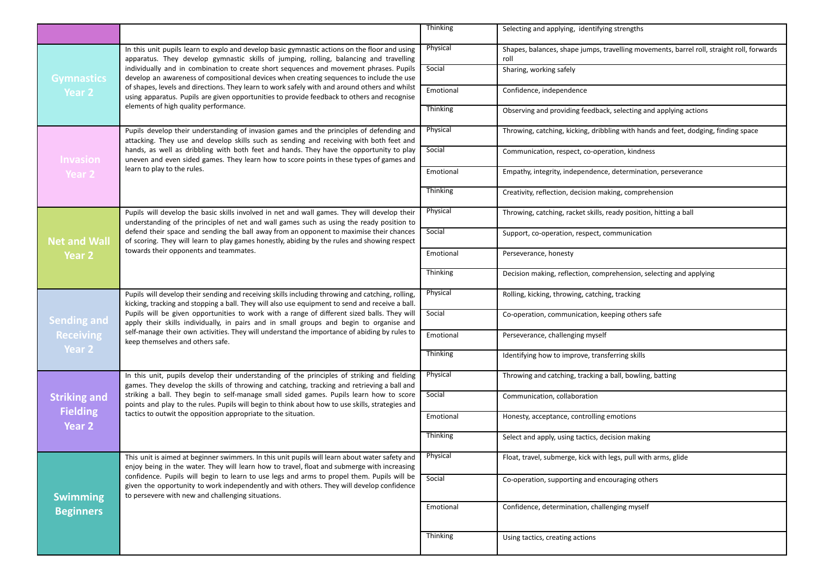|                                     |                                                                                                                                                                                                                                                                                                                                                                                                                     | <b>Thinking</b> | Selecting and applying, identifying strengths                                                     |
|-------------------------------------|---------------------------------------------------------------------------------------------------------------------------------------------------------------------------------------------------------------------------------------------------------------------------------------------------------------------------------------------------------------------------------------------------------------------|-----------------|---------------------------------------------------------------------------------------------------|
|                                     | In this unit pupils learn to explo and develop basic gymnastic actions on the floor and using<br>apparatus. They develop gymnastic skills of jumping, rolling, balancing and travelling                                                                                                                                                                                                                             | Physical        | Shapes, balances, shape jumps, travelling movements, barrel roll, straight roll, forwards<br>roll |
| <b>Gymnastics</b>                   | individually and in combination to create short sequences and movement phrases. Pupils<br>develop an awareness of compositional devices when creating sequences to include the use                                                                                                                                                                                                                                  | Social          | Sharing, working safely                                                                           |
| Year 2                              | of shapes, levels and directions. They learn to work safely with and around others and whilst<br>using apparatus. Pupils are given opportunities to provide feedback to others and recognise                                                                                                                                                                                                                        | Emotional       | Confidence, independence                                                                          |
|                                     | elements of high quality performance.                                                                                                                                                                                                                                                                                                                                                                               | Thinking        | Observing and providing feedback, selecting and applying actions                                  |
|                                     | Pupils develop their understanding of invasion games and the principles of defending and<br>attacking. They use and develop skills such as sending and receiving with both feet and                                                                                                                                                                                                                                 | Physical        | Throwing, catching, kicking, dribbling with hands and feet, dodging, finding space                |
| <b>Invasion</b>                     | hands, as well as dribbling with both feet and hands. They have the opportunity to play<br>uneven and even sided games. They learn how to score points in these types of games and                                                                                                                                                                                                                                  | Social          | Communication, respect, co-operation, kindness                                                    |
| Year 2                              | learn to play to the rules.                                                                                                                                                                                                                                                                                                                                                                                         | Emotional       | Empathy, integrity, independence, determination, perseverance                                     |
|                                     |                                                                                                                                                                                                                                                                                                                                                                                                                     | Thinking        | Creativity, reflection, decision making, comprehension                                            |
|                                     | Pupils will develop the basic skills involved in net and wall games. They will develop their<br>understanding of the principles of net and wall games such as using the ready position to                                                                                                                                                                                                                           | Physical        | Throwing, catching, racket skills, ready position, hitting a ball                                 |
| <b>Net and Wall</b>                 | defend their space and sending the ball away from an opponent to maximise their chances<br>of scoring. They will learn to play games honestly, abiding by the rules and showing respect                                                                                                                                                                                                                             | Social          | Support, co-operation, respect, communication                                                     |
| Year 2                              | towards their opponents and teammates.                                                                                                                                                                                                                                                                                                                                                                              | Emotional       | Perseverance, honesty                                                                             |
|                                     |                                                                                                                                                                                                                                                                                                                                                                                                                     | Thinking        | Decision making, reflection, comprehension, selecting and applying                                |
|                                     | Pupils will develop their sending and receiving skills including throwing and catching, rolling,<br>kicking, tracking and stopping a ball. They will also use equipment to send and receive a ball.<br>Pupils will be given opportunities to work with a range of different sized balls. They will<br><b>Sending and</b><br>apply their skills individually, in pairs and in small groups and begin to organise and | Physical        | Rolling, kicking, throwing, catching, tracking                                                    |
|                                     |                                                                                                                                                                                                                                                                                                                                                                                                                     | Social          | Co-operation, communication, keeping others safe                                                  |
| <b>Receiving</b><br>Year 2          | self-manage their own activities. They will understand the importance of abiding by rules to<br>keep themselves and others safe.                                                                                                                                                                                                                                                                                    | Emotional       | Perseverance, challenging myself                                                                  |
|                                     |                                                                                                                                                                                                                                                                                                                                                                                                                     | Thinking        | Identifying how to improve, transferring skills                                                   |
|                                     | In this unit, pupils develop their understanding of the principles of striking and fielding<br>games. They develop the skills of throwing and catching, tracking and retrieving a ball and                                                                                                                                                                                                                          | Physical        | Throwing and catching, tracking a ball, bowling, batting                                          |
| <b>Striking and</b>                 | striking a ball. They begin to self-manage small sided games. Pupils learn how to score<br>points and play to the rules. Pupils will begin to think about how to use skills, strategies and                                                                                                                                                                                                                         | Social          | Communication, collaboration                                                                      |
| <b>Fielding</b><br>Year 2           | tactics to outwit the opposition appropriate to the situation.                                                                                                                                                                                                                                                                                                                                                      | Emotional       | Honesty, acceptance, controlling emotions                                                         |
|                                     |                                                                                                                                                                                                                                                                                                                                                                                                                     | Thinking        | Select and apply, using tactics, decision making                                                  |
|                                     | This unit is aimed at beginner swimmers. In this unit pupils will learn about water safety and<br>enjoy being in the water. They will learn how to travel, float and submerge with increasing                                                                                                                                                                                                                       | Physical        | Float, travel, submerge, kick with legs, pull with arms, glide                                    |
|                                     | confidence. Pupils will begin to learn to use legs and arms to propel them. Pupils will be<br>given the opportunity to work independently and with others. They will develop confidence<br>to persevere with new and challenging situations.                                                                                                                                                                        | Social          | Co-operation, supporting and encouraging others                                                   |
| <b>Swimming</b><br><b>Beginners</b> |                                                                                                                                                                                                                                                                                                                                                                                                                     | Emotional       | Confidence, determination, challenging myself                                                     |
|                                     |                                                                                                                                                                                                                                                                                                                                                                                                                     |                 |                                                                                                   |
|                                     |                                                                                                                                                                                                                                                                                                                                                                                                                     | Thinking        | Using tactics, creating actions                                                                   |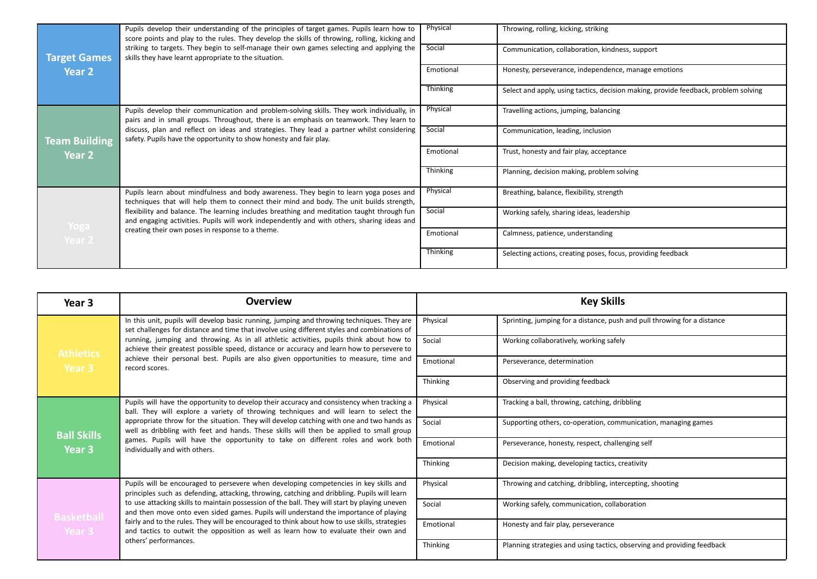|                      | Pupils develop their understanding of the principles of target games. Pupils learn how to<br>score points and play to the rules. They develop the skills of throwing, rolling, kicking and | Physical  | Throwing, rolling, kicking, striking                                                |
|----------------------|--------------------------------------------------------------------------------------------------------------------------------------------------------------------------------------------|-----------|-------------------------------------------------------------------------------------|
| <b>Target Games</b>  | striking to targets. They begin to self-manage their own games selecting and applying the<br>skills they have learnt appropriate to the situation.                                         | Social    | Communication, collaboration, kindness, support                                     |
| Year <sub>2</sub>    |                                                                                                                                                                                            | Emotional | Honesty, perseverance, independence, manage emotions                                |
|                      |                                                                                                                                                                                            | Thinking  | Select and apply, using tactics, decision making, provide feedback, problem solving |
|                      | Pupils develop their communication and problem-solving skills. They work individually, in<br>pairs and in small groups. Throughout, there is an emphasis on teamwork. They learn to        | Physical  | Travelling actions, jumping, balancing                                              |
| <b>Team Building</b> | discuss, plan and reflect on ideas and strategies. They lead a partner whilst considering<br>safety. Pupils have the opportunity to show honesty and fair play.                            | Social    | Communication, leading, inclusion                                                   |
| Year 2               |                                                                                                                                                                                            | Emotional | Trust, honesty and fair play, acceptance                                            |
|                      |                                                                                                                                                                                            | Thinking  | Planning, decision making, problem solving                                          |
|                      | Pupils learn about mindfulness and body awareness. They begin to learn yoga poses and<br>techniques that will help them to connect their mind and body. The unit builds strength,          | Physical  | Breathing, balance, flexibility, strength                                           |
| Yoga                 | flexibility and balance. The learning includes breathing and meditation taught through fun<br>and engaging activities. Pupils will work independently and with others, sharing ideas and   | Social    | Working safely, sharing ideas, leadership                                           |
| Year 2               | creating their own poses in response to a theme.                                                                                                                                           | Emotional | Calmness, patience, understanding                                                   |
|                      |                                                                                                                                                                                            | Thinking  | Selecting actions, creating poses, focus, providing feedback                        |

| Year 3             | <b>Overview</b>                                                                                                                                                                            | <b>Key Skills</b> |                                                                          |
|--------------------|--------------------------------------------------------------------------------------------------------------------------------------------------------------------------------------------|-------------------|--------------------------------------------------------------------------|
|                    | In this unit, pupils will develop basic running, jumping and throwing techniques. They are<br>set challenges for distance and time that involve using different styles and combinations of | Physical          | Sprinting, jumping for a distance, push and pull throwing for a distance |
| <b>Athletics</b>   | running, jumping and throwing. As in all athletic activities, pupils think about how to<br>achieve their greatest possible speed, distance or accuracy and learn how to persevere to       | Social            | Working collaboratively, working safely                                  |
| Year 3             | achieve their personal best. Pupils are also given opportunities to measure, time and<br>record scores.                                                                                    | Emotional         | Perseverance, determination                                              |
|                    |                                                                                                                                                                                            | Thinking          | Observing and providing feedback                                         |
|                    | Pupils will have the opportunity to develop their accuracy and consistency when tracking a<br>ball. They will explore a variety of throwing techniques and will learn to select the        | Physical          | Tracking a ball, throwing, catching, dribbling                           |
| <b>Ball Skills</b> | appropriate throw for the situation. They will develop catching with one and two hands as<br>well as dribbling with feet and hands. These skills will then be applied to small group       | Social            | Supporting others, co-operation, communication, managing games           |
| Year 3             | games. Pupils will have the opportunity to take on different roles and work both<br>individually and with others.                                                                          | Emotional         | Perseverance, honesty, respect, challenging self                         |
|                    |                                                                                                                                                                                            | Thinking          | Decision making, developing tactics, creativity                          |
|                    | Pupils will be encouraged to persevere when developing competencies in key skills and<br>principles such as defending, attacking, throwing, catching and dribbling. Pupils will learn      | Physical          | Throwing and catching, dribbling, intercepting, shooting                 |
| <b>Basketball</b>  | to use attacking skills to maintain possession of the ball. They will start by playing uneven<br>and then move onto even sided games. Pupils will understand the importance of playing     | Social            | Working safely, communication, collaboration                             |
| Year 3             | fairly and to the rules. They will be encouraged to think about how to use skills, strategies<br>and tactics to outwit the opposition as well as learn how to evaluate their own and       | Emotional         | Honesty and fair play, perseverance                                      |
|                    | others' performances.                                                                                                                                                                      | Thinking          | Planning strategies and using tactics, observing and providing feedback  |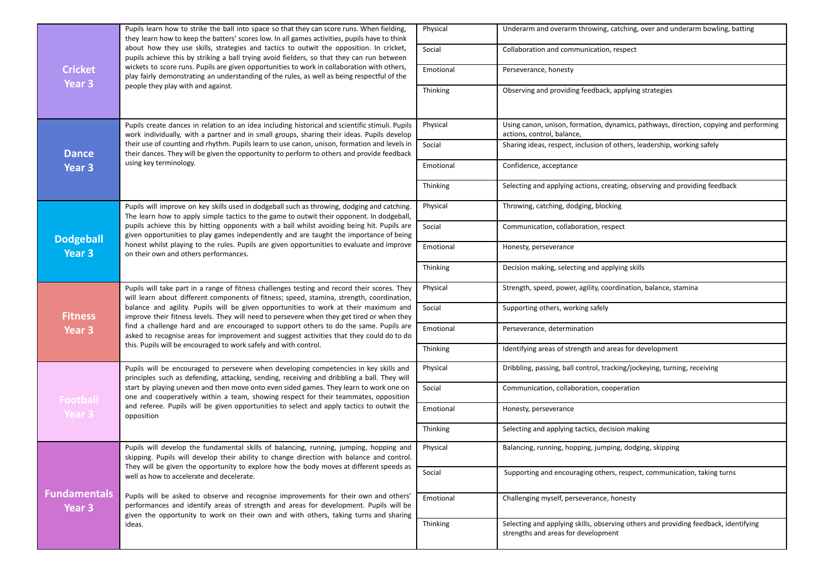|                                          | Pupils learn how to strike the ball into space so that they can score runs. When fielding,<br>they learn how to keep the batters' scores low. In all games activities, pupils have to think<br>about how they use skills, strategies and tactics to outwit the opposition. In cricket,<br>pupils achieve this by striking a ball trying avoid fielders, so that they can run between<br>wickets to score runs. Pupils are given opportunities to work in collaboration with others,<br>play fairly demonstrating an understanding of the rules, as well as being respectful of the | Physical  | Underarm and overarm throwing, catching, over and underarm bowling, batting                                         |
|------------------------------------------|------------------------------------------------------------------------------------------------------------------------------------------------------------------------------------------------------------------------------------------------------------------------------------------------------------------------------------------------------------------------------------------------------------------------------------------------------------------------------------------------------------------------------------------------------------------------------------|-----------|---------------------------------------------------------------------------------------------------------------------|
|                                          |                                                                                                                                                                                                                                                                                                                                                                                                                                                                                                                                                                                    | Social    | Collaboration and communication, respect                                                                            |
| <b>Cricket</b>                           |                                                                                                                                                                                                                                                                                                                                                                                                                                                                                                                                                                                    | Emotional | Perseverance, honesty                                                                                               |
| Year 3                                   | people they play with and against.                                                                                                                                                                                                                                                                                                                                                                                                                                                                                                                                                 | Thinking  | Observing and providing feedback, applying strategies                                                               |
|                                          |                                                                                                                                                                                                                                                                                                                                                                                                                                                                                                                                                                                    |           |                                                                                                                     |
|                                          | Pupils create dances in relation to an idea including historical and scientific stimuli. Pupils<br>work individually, with a partner and in small groups, sharing their ideas. Pupils develop                                                                                                                                                                                                                                                                                                                                                                                      | Physical  | Using canon, unison, formation, dynamics, pathways, direction, copying and performing<br>actions, control, balance, |
| <b>Dance</b>                             | their use of counting and rhythm. Pupils learn to use canon, unison, formation and levels in<br>their dances. They will be given the opportunity to perform to others and provide feedback                                                                                                                                                                                                                                                                                                                                                                                         | Social    | Sharing ideas, respect, inclusion of others, leadership, working safely                                             |
| Year <sub>3</sub>                        | using key terminology.                                                                                                                                                                                                                                                                                                                                                                                                                                                                                                                                                             | Emotional | Confidence, acceptance                                                                                              |
|                                          |                                                                                                                                                                                                                                                                                                                                                                                                                                                                                                                                                                                    | Thinking  | Selecting and applying actions, creating, observing and providing feedback                                          |
|                                          | Pupils will improve on key skills used in dodgeball such as throwing, dodging and catching.<br>The learn how to apply simple tactics to the game to outwit their opponent. In dodgeball,                                                                                                                                                                                                                                                                                                                                                                                           | Physical  | Throwing, catching, dodging, blocking                                                                               |
| <b>Dodgeball</b>                         | pupils achieve this by hitting opponents with a ball whilst avoiding being hit. Pupils are<br>given opportunities to play games independently and are taught the importance of being                                                                                                                                                                                                                                                                                                                                                                                               | Social    | Communication, collaboration, respect                                                                               |
| Year <sub>3</sub>                        | honest whilst playing to the rules. Pupils are given opportunities to evaluate and improve<br>on their own and others performances.                                                                                                                                                                                                                                                                                                                                                                                                                                                | Emotional | Honesty, perseverance                                                                                               |
|                                          |                                                                                                                                                                                                                                                                                                                                                                                                                                                                                                                                                                                    | Thinking  | Decision making, selecting and applying skills                                                                      |
|                                          | Pupils will take part in a range of fitness challenges testing and record their scores. They<br>will learn about different components of fitness; speed, stamina, strength, coordination,<br>balance and agility. Pupils will be given opportunities to work at their maximum and<br>improve their fitness levels. They will need to persevere when they get tired or when they<br>find a challenge hard and are encouraged to support others to do the same. Pupils are<br>asked to recognise areas for improvement and suggest activities that they could do to do               | Physical  | Strength, speed, power, agility, coordination, balance, stamina                                                     |
| <b>Fitness</b>                           |                                                                                                                                                                                                                                                                                                                                                                                                                                                                                                                                                                                    | Social    | Supporting others, working safely                                                                                   |
| Year 3                                   |                                                                                                                                                                                                                                                                                                                                                                                                                                                                                                                                                                                    | Emotional | Perseverance, determination                                                                                         |
|                                          | this. Pupils will be encouraged to work safely and with control.                                                                                                                                                                                                                                                                                                                                                                                                                                                                                                                   | Thinking  | Identifying areas of strength and areas for development                                                             |
|                                          | Pupils will be encouraged to persevere when developing competencies in key skills and<br>principles such as defending, attacking, sending, receiving and dribbling a ball. They will<br>start by playing uneven and then move onto even sided games. They learn to work one on<br>one and cooperatively within a team, showing respect for their teammates, opposition<br>and referee. Pupils will be given opportunities to select and apply tactics to outwit the<br>opposition                                                                                                  | Physical  | Dribbling, passing, ball control, tracking/jockeying, turning, receiving                                            |
| Football                                 |                                                                                                                                                                                                                                                                                                                                                                                                                                                                                                                                                                                    | Social    | Communication, collaboration, cooperation                                                                           |
| Year 3                                   |                                                                                                                                                                                                                                                                                                                                                                                                                                                                                                                                                                                    | Emotional | Honesty, perseverance                                                                                               |
|                                          |                                                                                                                                                                                                                                                                                                                                                                                                                                                                                                                                                                                    | Thinking  | Selecting and applying tactics, decision making                                                                     |
|                                          | Pupils will develop the fundamental skills of balancing, running, jumping, hopping and<br>skipping. Pupils will develop their ability to change direction with balance and control.                                                                                                                                                                                                                                                                                                                                                                                                | Physical  | Balancing, running, hopping, jumping, dodging, skipping                                                             |
|                                          | They will be given the opportunity to explore how the body moves at different speeds as<br>well as how to accelerate and decelerate.                                                                                                                                                                                                                                                                                                                                                                                                                                               | Social    | Supporting and encouraging others, respect, communication, taking turns                                             |
| <b>Fundamentals</b><br>Year <sub>3</sub> | Pupils will be asked to observe and recognise improvements for their own and others'<br>performances and identify areas of strength and areas for development. Pupils will be                                                                                                                                                                                                                                                                                                                                                                                                      | Emotional | Challenging myself, perseverance, honesty                                                                           |
|                                          | given the opportunity to work on their own and with others, taking turns and sharing<br>ideas.                                                                                                                                                                                                                                                                                                                                                                                                                                                                                     | Thinking  | Selecting and applying skills, observing others and providing feedback, identifying                                 |
|                                          |                                                                                                                                                                                                                                                                                                                                                                                                                                                                                                                                                                                    |           | strengths and areas for development                                                                                 |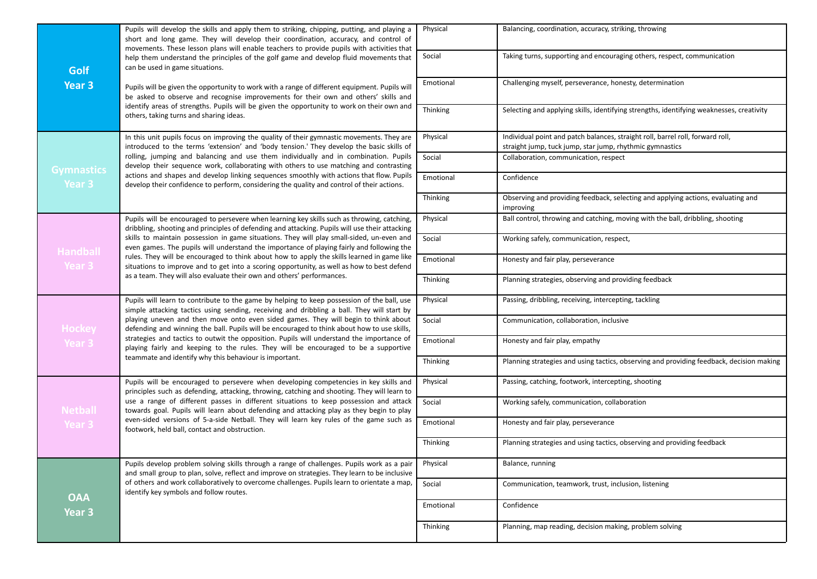|                   | Pupils will develop the skills and apply them to striking, chipping, putting, and playing a<br>short and long game. They will develop their coordination, accuracy, and control of<br>movements. These lesson plans will enable teachers to provide pupils with activities that                                              | Physical  | Balancing, coordination, accuracy, striking, throwing                                                                                      |
|-------------------|------------------------------------------------------------------------------------------------------------------------------------------------------------------------------------------------------------------------------------------------------------------------------------------------------------------------------|-----------|--------------------------------------------------------------------------------------------------------------------------------------------|
| Golf              | help them understand the principles of the golf game and develop fluid movements that<br>can be used in game situations.                                                                                                                                                                                                     | Social    | Taking turns, supporting and encouraging others, respect, communication                                                                    |
| Year <sub>3</sub> | Pupils will be given the opportunity to work with a range of different equipment. Pupils will<br>be asked to observe and recognise improvements for their own and others' skills and                                                                                                                                         | Emotional | Challenging myself, perseverance, honesty, determination                                                                                   |
|                   | identify areas of strengths. Pupils will be given the opportunity to work on their own and<br>others, taking turns and sharing ideas.                                                                                                                                                                                        | Thinking  | Selecting and applying skills, identifying strengths, identifying weaknesses, creativity                                                   |
|                   | In this unit pupils focus on improving the quality of their gymnastic movements. They are<br>introduced to the terms 'extension' and 'body tension.' They develop the basic skills of                                                                                                                                        | Physical  | Individual point and patch balances, straight roll, barrel roll, forward roll,<br>straight jump, tuck jump, star jump, rhythmic gymnastics |
| <b>Gymnastics</b> | rolling, jumping and balancing and use them individually and in combination. Pupils<br>develop their sequence work, collaborating with others to use matching and contrasting                                                                                                                                                | Social    | Collaboration, communication, respect                                                                                                      |
| Year 3            | actions and shapes and develop linking sequences smoothly with actions that flow. Pupils<br>develop their confidence to perform, considering the quality and control of their actions.                                                                                                                                       | Emotional | Confidence                                                                                                                                 |
|                   |                                                                                                                                                                                                                                                                                                                              | Thinking  | Observing and providing feedback, selecting and applying actions, evaluating and<br>improving                                              |
|                   | Pupils will be encouraged to persevere when learning key skills such as throwing, catching,<br>dribbling, shooting and principles of defending and attacking. Pupils will use their attacking                                                                                                                                | Physical  | Ball control, throwing and catching, moving with the ball, dribbling, shooting                                                             |
| <b>Handball</b>   | skills to maintain possession in game situations. They will play small-sided, un-even and<br>even games. The pupils will understand the importance of playing fairly and following the                                                                                                                                       | Social    | Working safely, communication, respect,                                                                                                    |
| Year 3            | rules. They will be encouraged to think about how to apply the skills learned in game like<br>situations to improve and to get into a scoring opportunity, as well as how to best defend<br>as a team. They will also evaluate their own and others' performances.                                                           | Emotional | Honesty and fair play, perseverance                                                                                                        |
|                   |                                                                                                                                                                                                                                                                                                                              | Thinking  | Planning strategies, observing and providing feedback                                                                                      |
|                   | Pupils will learn to contribute to the game by helping to keep possession of the ball, use<br>simple attacking tactics using sending, receiving and dribbling a ball. They will start by                                                                                                                                     | Physical  | Passing, dribbling, receiving, intercepting, tackling                                                                                      |
| <b>Hockey</b>     | playing uneven and then move onto even sided games. They will begin to think about<br>defending and winning the ball. Pupils will be encouraged to think about how to use skills,                                                                                                                                            | Social    | Communication, collaboration, inclusive                                                                                                    |
| Year 3            | strategies and tactics to outwit the opposition. Pupils will understand the importance of<br>playing fairly and keeping to the rules. They will be encouraged to be a supportive                                                                                                                                             | Emotional | Honesty and fair play, empathy                                                                                                             |
|                   | teammate and identify why this behaviour is important.                                                                                                                                                                                                                                                                       | Thinking  | Planning strategies and using tactics, observing and providing feedback, decision making                                                   |
|                   | Pupils will be encouraged to persevere when developing competencies in key skills and<br>principles such as defending, attacking, throwing, catching and shooting. They will learn to                                                                                                                                        | Physical  | Passing, catching, footwork, intercepting, shooting                                                                                        |
| <b>Netball</b>    | use a range of different passes in different situations to keep possession and attack<br>towards goal. Pupils will learn about defending and attacking play as they begin to play<br>even-sided versions of 5-a-side Netball. They will learn key rules of the game such as<br>footwork, held ball, contact and obstruction. | Social    | Working safely, communication, collaboration                                                                                               |
| Year 3            |                                                                                                                                                                                                                                                                                                                              | Emotional | Honesty and fair play, perseverance                                                                                                        |
|                   |                                                                                                                                                                                                                                                                                                                              | Thinking  | Planning strategies and using tactics, observing and providing feedback                                                                    |
|                   | Pupils develop problem solving skills through a range of challenges. Pupils work as a pair<br>and small group to plan, solve, reflect and improve on strategies. They learn to be inclusive                                                                                                                                  | Physical  | Balance, running                                                                                                                           |
| <b>OAA</b>        | of others and work collaboratively to overcome challenges. Pupils learn to orientate a map,<br>identify key symbols and follow routes.                                                                                                                                                                                       | Social    | Communication, teamwork, trust, inclusion, listening                                                                                       |
| Year 3            |                                                                                                                                                                                                                                                                                                                              | Emotional | Confidence                                                                                                                                 |
|                   |                                                                                                                                                                                                                                                                                                                              | Thinking  | Planning, map reading, decision making, problem solving                                                                                    |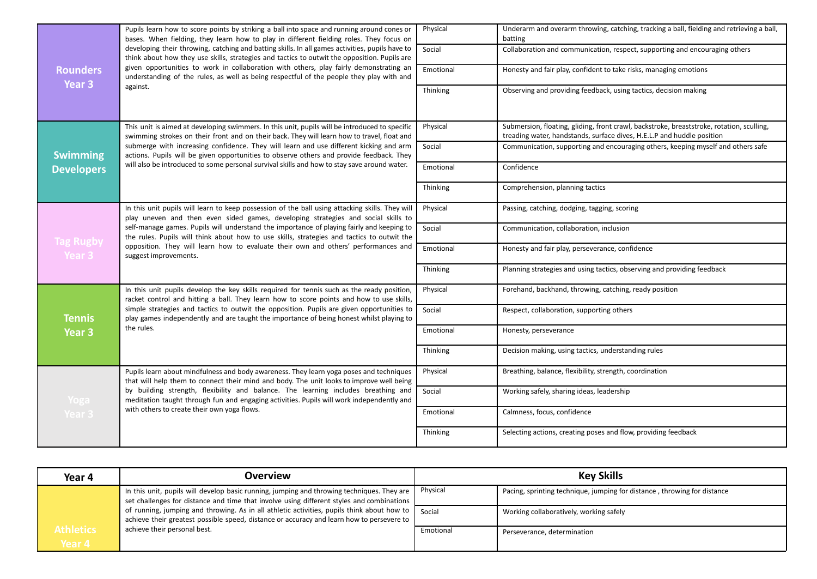|                            | Pupils learn how to score points by striking a ball into space and running around cones or<br>bases. When fielding, they learn how to play in different fielding roles. They focus on<br>developing their throwing, catching and batting skills. In all games activities, pupils have to<br>think about how they use skills, strategies and tactics to outwit the opposition. Pupils are                                                                                                       | Physical  | Underarm and overarm throwing, catching, tracking a ball, fielding and retrieving a ball,<br>batting                                                                |
|----------------------------|------------------------------------------------------------------------------------------------------------------------------------------------------------------------------------------------------------------------------------------------------------------------------------------------------------------------------------------------------------------------------------------------------------------------------------------------------------------------------------------------|-----------|---------------------------------------------------------------------------------------------------------------------------------------------------------------------|
|                            |                                                                                                                                                                                                                                                                                                                                                                                                                                                                                                | Social    | Collaboration and communication, respect, supporting and encouraging others                                                                                         |
| <b>Rounders</b>            | given opportunities to work in collaboration with others, play fairly demonstrating an<br>understanding of the rules, as well as being respectful of the people they play with and                                                                                                                                                                                                                                                                                                             | Emotional | Honesty and fair play, confident to take risks, managing emotions                                                                                                   |
| Year 3                     | against.                                                                                                                                                                                                                                                                                                                                                                                                                                                                                       | Thinking  | Observing and providing feedback, using tactics, decision making                                                                                                    |
|                            | This unit is aimed at developing swimmers. In this unit, pupils will be introduced to specific<br>swimming strokes on their front and on their back. They will learn how to travel, float and                                                                                                                                                                                                                                                                                                  | Physical  | Submersion, floating, gliding, front crawl, backstroke, breaststroke, rotation, sculling,<br>treading water, handstands, surface dives, H.E.L.P and huddle position |
| <b>Swimming</b>            | submerge with increasing confidence. They will learn and use different kicking and arm<br>actions. Pupils will be given opportunities to observe others and provide feedback. They                                                                                                                                                                                                                                                                                                             | Social    | Communication, supporting and encouraging others, keeping myself and others safe                                                                                    |
| <b>Developers</b>          | will also be introduced to some personal survival skills and how to stay save around water.                                                                                                                                                                                                                                                                                                                                                                                                    | Emotional | Confidence                                                                                                                                                          |
|                            |                                                                                                                                                                                                                                                                                                                                                                                                                                                                                                | Thinking  | Comprehension, planning tactics                                                                                                                                     |
|                            | In this unit pupils will learn to keep possession of the ball using attacking skills. They will<br>play uneven and then even sided games, developing strategies and social skills to<br>self-manage games. Pupils will understand the importance of playing fairly and keeping to<br>the rules. Pupils will think about how to use skills, strategies and tactics to outwit the<br>opposition. They will learn how to evaluate their own and others' performances and<br>suggest improvements. | Physical  | Passing, catching, dodging, tagging, scoring                                                                                                                        |
|                            |                                                                                                                                                                                                                                                                                                                                                                                                                                                                                                | Social    | Communication, collaboration, inclusion                                                                                                                             |
| <b>Tag Rugby</b><br>Year 3 |                                                                                                                                                                                                                                                                                                                                                                                                                                                                                                | Emotional | Honesty and fair play, perseverance, confidence                                                                                                                     |
|                            |                                                                                                                                                                                                                                                                                                                                                                                                                                                                                                | Thinking  | Planning strategies and using tactics, observing and providing feedback                                                                                             |
|                            | In this unit pupils develop the key skills required for tennis such as the ready position,<br>racket control and hitting a ball. They learn how to score points and how to use skills,                                                                                                                                                                                                                                                                                                         | Physical  | Forehand, backhand, throwing, catching, ready position                                                                                                              |
| <b>Tennis</b>              | simple strategies and tactics to outwit the opposition. Pupils are given opportunities to<br>play games independently and are taught the importance of being honest whilst playing to                                                                                                                                                                                                                                                                                                          | Social    | Respect, collaboration, supporting others                                                                                                                           |
| <b>Year 3</b>              | the rules.                                                                                                                                                                                                                                                                                                                                                                                                                                                                                     | Emotional | Honesty, perseverance                                                                                                                                               |
|                            |                                                                                                                                                                                                                                                                                                                                                                                                                                                                                                | Thinking  | Decision making, using tactics, understanding rules                                                                                                                 |
|                            | Pupils learn about mindfulness and body awareness. They learn yoga poses and techniques<br>that will help them to connect their mind and body. The unit looks to improve well being                                                                                                                                                                                                                                                                                                            | Physical  | Breathing, balance, flexibility, strength, coordination                                                                                                             |
| Yoga                       | by building strength, flexibility and balance. The learning includes breathing and<br>meditation taught through fun and engaging activities. Pupils will work independently and                                                                                                                                                                                                                                                                                                                | Social    | Working safely, sharing ideas, leadership                                                                                                                           |
| Year 3                     | with others to create their own yoga flows.                                                                                                                                                                                                                                                                                                                                                                                                                                                    | Emotional | Calmness, focus, confidence                                                                                                                                         |
|                            |                                                                                                                                                                                                                                                                                                                                                                                                                                                                                                | Thinking  | Selecting actions, creating poses and flow, providing feedback                                                                                                      |

| Year 4           | <b>Overview</b>                                                                                                                                                                                       |           | <b>Key Skills</b>                                                        |
|------------------|-------------------------------------------------------------------------------------------------------------------------------------------------------------------------------------------------------|-----------|--------------------------------------------------------------------------|
|                  | In this unit, pupils will develop basic running, jumping and throwing techniques. They are<br>set challenges for distance and time that involve using different styles and combinations               | Physical  | Pacing, sprinting technique, jumping for distance, throwing for distance |
|                  | of running, jumping and throwing. As in all athletic activities, pupils think about how to $\int$ Social<br>achieve their greatest possible speed, distance or accuracy and learn how to persevere to |           | Working collaboratively, working safely                                  |
| <b>Athletics</b> | achieve their personal best.                                                                                                                                                                          | Emotional | Perseverance, determination                                              |
| Year 4           |                                                                                                                                                                                                       |           |                                                                          |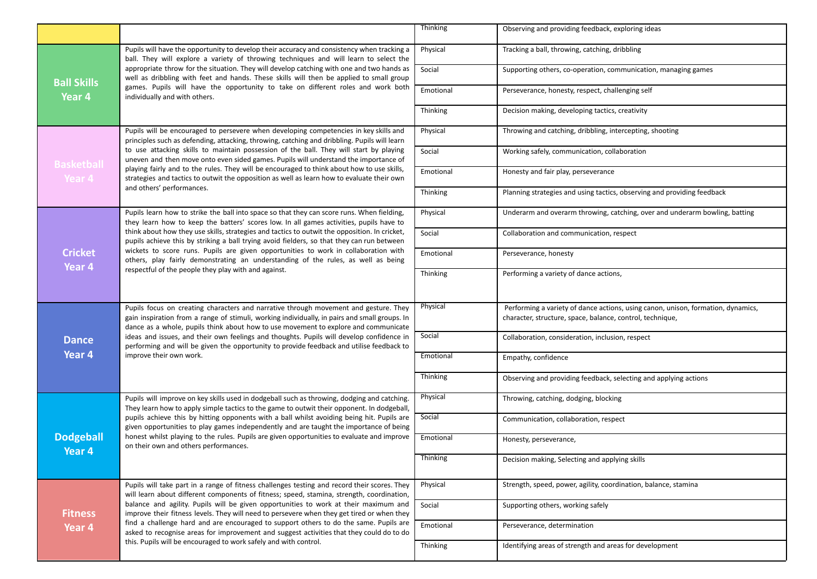|                            |                                                                                                                                                                                                                                                                                                                                                                                                                                                                                                                          | <b>Thinking</b> | Observing and providing feedback, exploring ideas                                                                                             |
|----------------------------|--------------------------------------------------------------------------------------------------------------------------------------------------------------------------------------------------------------------------------------------------------------------------------------------------------------------------------------------------------------------------------------------------------------------------------------------------------------------------------------------------------------------------|-----------------|-----------------------------------------------------------------------------------------------------------------------------------------------|
|                            | Pupils will have the opportunity to develop their accuracy and consistency when tracking a<br>ball. They will explore a variety of throwing techniques and will learn to select the                                                                                                                                                                                                                                                                                                                                      | Physical        | Tracking a ball, throwing, catching, dribbling                                                                                                |
| <b>Ball Skills</b>         | appropriate throw for the situation. They will develop catching with one and two hands as<br>well as dribbling with feet and hands. These skills will then be applied to small group                                                                                                                                                                                                                                                                                                                                     | Social          | Supporting others, co-operation, communication, managing games                                                                                |
| Year <sub>4</sub>          | games. Pupils will have the opportunity to take on different roles and work both<br>individually and with others.                                                                                                                                                                                                                                                                                                                                                                                                        | Emotional       | Perseverance, honesty, respect, challenging self                                                                                              |
|                            |                                                                                                                                                                                                                                                                                                                                                                                                                                                                                                                          | Thinking        | Decision making, developing tactics, creativity                                                                                               |
|                            | Pupils will be encouraged to persevere when developing competencies in key skills and<br>principles such as defending, attacking, throwing, catching and dribbling. Pupils will learn                                                                                                                                                                                                                                                                                                                                    | Physical        | Throwing and catching, dribbling, intercepting, shooting                                                                                      |
| <b>Basketball</b>          | to use attacking skills to maintain possession of the ball. They will start by playing<br>uneven and then move onto even sided games. Pupils will understand the importance of                                                                                                                                                                                                                                                                                                                                           | Social          | Working safely, communication, collaboration                                                                                                  |
| Year 4                     | playing fairly and to the rules. They will be encouraged to think about how to use skills,<br>strategies and tactics to outwit the opposition as well as learn how to evaluate their own                                                                                                                                                                                                                                                                                                                                 | Emotional       | Honesty and fair play, perseverance                                                                                                           |
|                            | and others' performances.                                                                                                                                                                                                                                                                                                                                                                                                                                                                                                | Thinking        | Planning strategies and using tactics, observing and providing feedback                                                                       |
|                            | Pupils learn how to strike the ball into space so that they can score runs. When fielding,<br>they learn how to keep the batters' scores low. In all games activities, pupils have to                                                                                                                                                                                                                                                                                                                                    | Physical        | Underarm and overarm throwing, catching, over and underarm bowling, batting                                                                   |
|                            | think about how they use skills, strategies and tactics to outwit the opposition. In cricket,<br>pupils achieve this by striking a ball trying avoid fielders, so that they can run between<br>wickets to score runs. Pupils are given opportunities to work in collaboration with<br>others, play fairly demonstrating an understanding of the rules, as well as being<br>respectful of the people they play with and against.                                                                                          | Social          | Collaboration and communication, respect                                                                                                      |
| <b>Cricket</b><br>Year 4   |                                                                                                                                                                                                                                                                                                                                                                                                                                                                                                                          | Emotional       | Perseverance, honesty                                                                                                                         |
|                            |                                                                                                                                                                                                                                                                                                                                                                                                                                                                                                                          | <b>Thinking</b> | Performing a variety of dance actions,                                                                                                        |
|                            | Pupils focus on creating characters and narrative through movement and gesture. They<br>gain inspiration from a range of stimuli, working individually, in pairs and small groups. In<br>dance as a whole, pupils think about how to use movement to explore and communicate<br>ideas and issues, and their own feelings and thoughts. Pupils will develop confidence in<br>performing and will be given the opportunity to provide feedback and utilise feedback to<br>improve their own work.                          | Physical        | Performing a variety of dance actions, using canon, unison, formation, dynamics,<br>character, structure, space, balance, control, technique, |
| <b>Dance</b><br>Year 4     |                                                                                                                                                                                                                                                                                                                                                                                                                                                                                                                          | Social          |                                                                                                                                               |
|                            |                                                                                                                                                                                                                                                                                                                                                                                                                                                                                                                          |                 | Collaboration, consideration, inclusion, respect                                                                                              |
|                            |                                                                                                                                                                                                                                                                                                                                                                                                                                                                                                                          | Emotional       | Empathy, confidence                                                                                                                           |
|                            |                                                                                                                                                                                                                                                                                                                                                                                                                                                                                                                          | <b>Thinking</b> | Observing and providing feedback, selecting and applying actions                                                                              |
|                            | Pupils will improve on key skills used in dodgeball such as throwing, dodging and catching.<br>They learn how to apply simple tactics to the game to outwit their opponent. In dodgeball,<br>pupils achieve this by hitting opponents with a ball whilst avoiding being hit. Pupils are<br>given opportunities to play games independently and are taught the importance of being<br>honest whilst playing to the rules. Pupils are given opportunities to evaluate and improve<br>on their own and others performances. | Physical        | Throwing, catching, dodging, blocking                                                                                                         |
|                            |                                                                                                                                                                                                                                                                                                                                                                                                                                                                                                                          | Social          | Communication, collaboration, respect                                                                                                         |
| <b>Dodgeball</b><br>Year 4 |                                                                                                                                                                                                                                                                                                                                                                                                                                                                                                                          | Emotional       | Honesty, perseverance,                                                                                                                        |
|                            |                                                                                                                                                                                                                                                                                                                                                                                                                                                                                                                          | Thinking        | Decision making, Selecting and applying skills                                                                                                |
|                            | Pupils will take part in a range of fitness challenges testing and record their scores. They<br>will learn about different components of fitness; speed, stamina, strength, coordination,                                                                                                                                                                                                                                                                                                                                | Physical        | Strength, speed, power, agility, coordination, balance, stamina                                                                               |
| <b>Fitness</b>             | balance and agility. Pupils will be given opportunities to work at their maximum and<br>improve their fitness levels. They will need to persevere when they get tired or when they                                                                                                                                                                                                                                                                                                                                       | Social          | Supporting others, working safely                                                                                                             |
| Year 4                     | find a challenge hard and are encouraged to support others to do the same. Pupils are<br>asked to recognise areas for improvement and suggest activities that they could do to do                                                                                                                                                                                                                                                                                                                                        | Emotional       | Perseverance, determination                                                                                                                   |
|                            | this. Pupils will be encouraged to work safely and with control.                                                                                                                                                                                                                                                                                                                                                                                                                                                         | Thinking        | Identifying areas of strength and areas for development                                                                                       |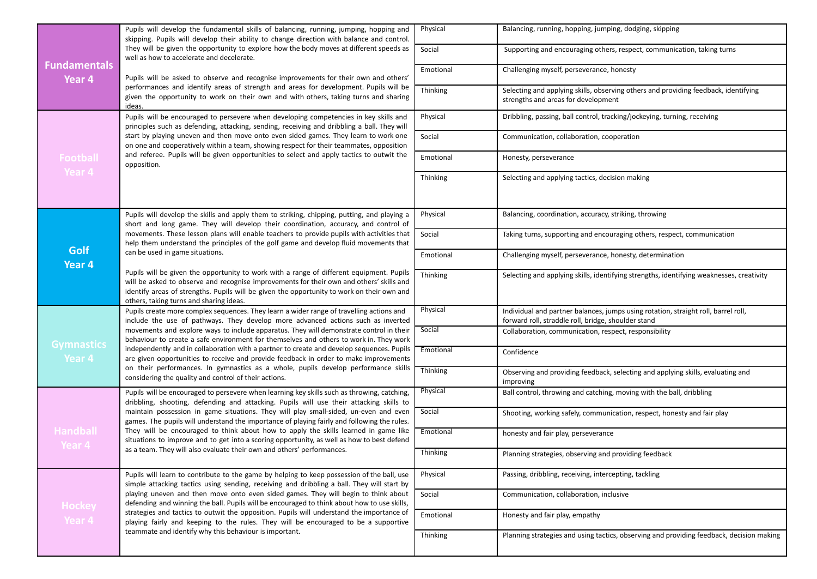|                               | Pupils will develop the fundamental skills of balancing, running, jumping, hopping and<br>skipping. Pupils will develop their ability to change direction with balance and control.<br>They will be given the opportunity to explore how the body moves at different speeds as<br>well as how to accelerate and decelerate.                                                                                                                                                                                                                                        | Physical        | Balancing, running, hopping, jumping, dodging, skipping                                                                                   |
|-------------------------------|--------------------------------------------------------------------------------------------------------------------------------------------------------------------------------------------------------------------------------------------------------------------------------------------------------------------------------------------------------------------------------------------------------------------------------------------------------------------------------------------------------------------------------------------------------------------|-----------------|-------------------------------------------------------------------------------------------------------------------------------------------|
|                               |                                                                                                                                                                                                                                                                                                                                                                                                                                                                                                                                                                    | Social          | Supporting and encouraging others, respect, communication, taking turns                                                                   |
| <b>Fundamentals</b><br>Year 4 | Pupils will be asked to observe and recognise improvements for their own and others'                                                                                                                                                                                                                                                                                                                                                                                                                                                                               | Emotional       | Challenging myself, perseverance, honesty                                                                                                 |
|                               | performances and identify areas of strength and areas for development. Pupils will be<br>given the opportunity to work on their own and with others, taking turns and sharing<br>ideas.                                                                                                                                                                                                                                                                                                                                                                            | Thinking        | Selecting and applying skills, observing others and providing feedback, identifying<br>strengths and areas for development                |
|                               | Pupils will be encouraged to persevere when developing competencies in key skills and<br>principles such as defending, attacking, sending, receiving and dribbling a ball. They will                                                                                                                                                                                                                                                                                                                                                                               | Physical        | Dribbling, passing, ball control, tracking/jockeying, turning, receiving                                                                  |
|                               | start by playing uneven and then move onto even sided games. They learn to work one<br>on one and cooperatively within a team, showing respect for their teammates, opposition                                                                                                                                                                                                                                                                                                                                                                                     | Social          | Communication, collaboration, cooperation                                                                                                 |
| Football                      | and referee. Pupils will be given opportunities to select and apply tactics to outwit the<br>opposition.                                                                                                                                                                                                                                                                                                                                                                                                                                                           | Emotional       | Honesty, perseverance                                                                                                                     |
| Year 4                        |                                                                                                                                                                                                                                                                                                                                                                                                                                                                                                                                                                    | Thinking        | Selecting and applying tactics, decision making                                                                                           |
|                               |                                                                                                                                                                                                                                                                                                                                                                                                                                                                                                                                                                    |                 |                                                                                                                                           |
|                               | Pupils will develop the skills and apply them to striking, chipping, putting, and playing a<br>short and long game. They will develop their coordination, accuracy, and control of<br>movements. These lesson plans will enable teachers to provide pupils with activities that<br>help them understand the principles of the golf game and develop fluid movements that                                                                                                                                                                                           | Physical        | Balancing, coordination, accuracy, striking, throwing                                                                                     |
|                               |                                                                                                                                                                                                                                                                                                                                                                                                                                                                                                                                                                    | Social          | Taking turns, supporting and encouraging others, respect, communication                                                                   |
| <b>Golf</b><br>Year 4         | can be used in game situations.                                                                                                                                                                                                                                                                                                                                                                                                                                                                                                                                    | Emotional       | Challenging myself, perseverance, honesty, determination                                                                                  |
|                               | Pupils will be given the opportunity to work with a range of different equipment. Pupils<br>will be asked to observe and recognise improvements for their own and others' skills and<br>identify areas of strengths. Pupils will be given the opportunity to work on their own and<br>others, taking turns and sharing ideas.                                                                                                                                                                                                                                      | Thinking        | Selecting and applying skills, identifying strengths, identifying weaknesses, creativity                                                  |
|                               | Pupils create more complex sequences. They learn a wider range of travelling actions and<br>include the use of pathways. They develop more advanced actions such as inverted<br>movements and explore ways to include apparatus. They will demonstrate control in their<br>behaviour to create a safe environment for themselves and others to work in. They work                                                                                                                                                                                                  | Physical        | Individual and partner balances, jumps using rotation, straight roll, barrel roll,<br>forward roll, straddle roll, bridge, shoulder stand |
|                               |                                                                                                                                                                                                                                                                                                                                                                                                                                                                                                                                                                    | Social          | Collaboration, communication, respect, responsibility                                                                                     |
| <b>Gymnastics</b><br>Year 4   | independently and in collaboration with a partner to create and develop sequences. Pupils<br>are given opportunities to receive and provide feedback in order to make improvements                                                                                                                                                                                                                                                                                                                                                                                 | Emotional       | Confidence                                                                                                                                |
|                               | on their performances. In gymnastics as a whole, pupils develop performance skills<br>considering the quality and control of their actions.                                                                                                                                                                                                                                                                                                                                                                                                                        | Thinking        | Observing and providing feedback, selecting and applying skills, evaluating and<br>improving                                              |
|                               | Pupils will be encouraged to persevere when learning key skills such as throwing, catching,<br>dribbling, shooting, defending and attacking. Pupils will use their attacking skills to<br>maintain possession in game situations. They will play small-sided, un-even and even<br>games. The pupils will understand the importance of playing fairly and following the rules.<br>They will be encouraged to think about how to apply the skills learned in game like<br>situations to improve and to get into a scoring opportunity, as well as how to best defend | Physical        | Ball control, throwing and catching, moving with the ball, dribbling                                                                      |
|                               |                                                                                                                                                                                                                                                                                                                                                                                                                                                                                                                                                                    | Social          | Shooting, working safely, communication, respect, honesty and fair play                                                                   |
| <b>Handball</b><br>Year 4     |                                                                                                                                                                                                                                                                                                                                                                                                                                                                                                                                                                    | Emotional       | honesty and fair play, perseverance                                                                                                       |
|                               | as a team. They will also evaluate their own and others' performances.                                                                                                                                                                                                                                                                                                                                                                                                                                                                                             | <b>Thinking</b> | Planning strategies, observing and providing feedback                                                                                     |
|                               | Pupils will learn to contribute to the game by helping to keep possession of the ball, use<br>simple attacking tactics using sending, receiving and dribbling a ball. They will start by                                                                                                                                                                                                                                                                                                                                                                           | Physical        | Passing, dribbling, receiving, intercepting, tackling                                                                                     |
| Hockey                        | playing uneven and then move onto even sided games. They will begin to think about<br>defending and winning the ball. Pupils will be encouraged to think about how to use skills,                                                                                                                                                                                                                                                                                                                                                                                  | Social          | Communication, collaboration, inclusive                                                                                                   |
| Year 4                        | strategies and tactics to outwit the opposition. Pupils will understand the importance of<br>playing fairly and keeping to the rules. They will be encouraged to be a supportive<br>teammate and identify why this behaviour is important.                                                                                                                                                                                                                                                                                                                         | Emotional       | Honesty and fair play, empathy                                                                                                            |
|                               |                                                                                                                                                                                                                                                                                                                                                                                                                                                                                                                                                                    | Thinking        | Planning strategies and using tactics, observing and providing feedback, decision making                                                  |
|                               |                                                                                                                                                                                                                                                                                                                                                                                                                                                                                                                                                                    |                 |                                                                                                                                           |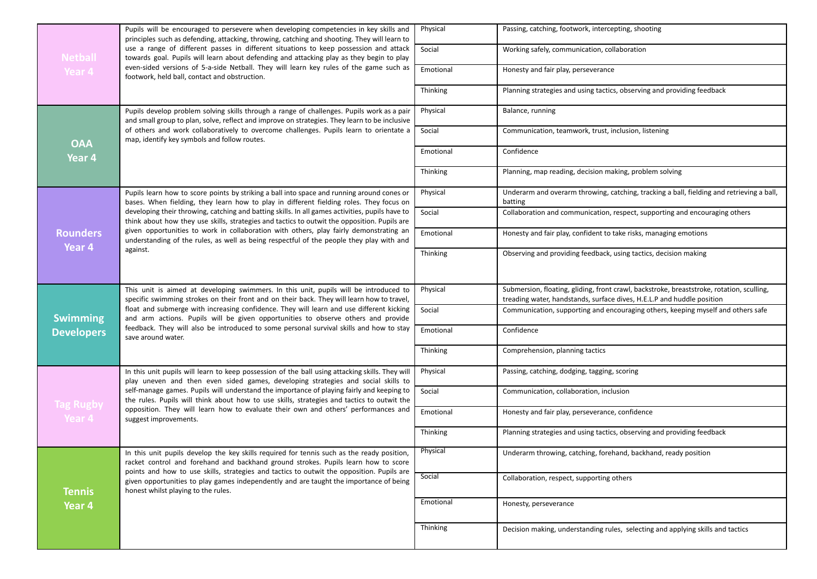|                         | Pupils will be encouraged to persevere when developing competencies in key skills and<br>principles such as defending, attacking, throwing, catching and shooting. They will learn to<br>use a range of different passes in different situations to keep possession and attack<br>towards goal. Pupils will learn about defending and attacking play as they begin to play | Physical        | Passing, catching, footwork, intercepting, shooting                                                                                                                 |
|-------------------------|----------------------------------------------------------------------------------------------------------------------------------------------------------------------------------------------------------------------------------------------------------------------------------------------------------------------------------------------------------------------------|-----------------|---------------------------------------------------------------------------------------------------------------------------------------------------------------------|
| <b>Netball</b>          |                                                                                                                                                                                                                                                                                                                                                                            | Social          | Working safely, communication, collaboration                                                                                                                        |
| Year 4                  | even-sided versions of 5-a-side Netball. They will learn key rules of the game such as<br>footwork, held ball, contact and obstruction.                                                                                                                                                                                                                                    | Emotional       | Honesty and fair play, perseverance                                                                                                                                 |
|                         |                                                                                                                                                                                                                                                                                                                                                                            | Thinking        | Planning strategies and using tactics, observing and providing feedback                                                                                             |
|                         | Pupils develop problem solving skills through a range of challenges. Pupils work as a pair<br>and small group to plan, solve, reflect and improve on strategies. They learn to be inclusive                                                                                                                                                                                | Physical        | Balance, running                                                                                                                                                    |
| <b>OAA</b>              | of others and work collaboratively to overcome challenges. Pupils learn to orientate a<br>map, identify key symbols and follow routes.                                                                                                                                                                                                                                     | Social          | Communication, teamwork, trust, inclusion, listening                                                                                                                |
| Year 4                  |                                                                                                                                                                                                                                                                                                                                                                            | Emotional       | Confidence                                                                                                                                                          |
|                         |                                                                                                                                                                                                                                                                                                                                                                            | <b>Thinking</b> | Planning, map reading, decision making, problem solving                                                                                                             |
|                         | Pupils learn how to score points by striking a ball into space and running around cones or<br>bases. When fielding, they learn how to play in different fielding roles. They focus on                                                                                                                                                                                      | Physical        | Underarm and overarm throwing, catching, tracking a ball, fielding and retrieving a ball,<br>batting                                                                |
|                         | developing their throwing, catching and batting skills. In all games activities, pupils have to<br>think about how they use skills, strategies and tactics to outwit the opposition. Pupils are                                                                                                                                                                            | Social          | Collaboration and communication, respect, supporting and encouraging others                                                                                         |
| <b>Rounders</b>         | given opportunities to work in collaboration with others, play fairly demonstrating an<br>understanding of the rules, as well as being respectful of the people they play with and                                                                                                                                                                                         | Emotional       | Honesty and fair play, confident to take risks, managing emotions                                                                                                   |
| Year 4                  | against.                                                                                                                                                                                                                                                                                                                                                                   | Thinking        | Observing and providing feedback, using tactics, decision making                                                                                                    |
|                         |                                                                                                                                                                                                                                                                                                                                                                            |                 |                                                                                                                                                                     |
|                         | This unit is aimed at developing swimmers. In this unit, pupils will be introduced to<br>specific swimming strokes on their front and on their back. They will learn how to travel,                                                                                                                                                                                        | Physical        | Submersion, floating, gliding, front crawl, backstroke, breaststroke, rotation, sculling,<br>treading water, handstands, surface dives, H.E.L.P and huddle position |
| <b>Swimming</b>         | float and submerge with increasing confidence. They will learn and use different kicking<br>and arm actions. Pupils will be given opportunities to observe others and provide                                                                                                                                                                                              | Social          | Communication, supporting and encouraging others, keeping myself and others safe                                                                                    |
| <b>Developers</b>       | feedback. They will also be introduced to some personal survival skills and how to stay<br>save around water.                                                                                                                                                                                                                                                              | Emotional       | Confidence                                                                                                                                                          |
|                         |                                                                                                                                                                                                                                                                                                                                                                            | Thinking        | Comprehension, planning tactics                                                                                                                                     |
|                         | In this unit pupils will learn to keep possession of the ball using attacking skills. They will<br>play uneven and then even sided games, developing strategies and social skills to                                                                                                                                                                                       | Physical        | Passing, catching, dodging, tagging, scoring                                                                                                                        |
| <b>Tag Rugby</b>        | self-manage games. Pupils will understand the importance of playing fairly and keeping to<br>the rules. Pupils will think about how to use skills, strategies and tactics to outwit the                                                                                                                                                                                    | Social          | Communication, collaboration, inclusion                                                                                                                             |
| Year 4                  | opposition. They will learn how to evaluate their own and others' performances and<br>suggest improvements.                                                                                                                                                                                                                                                                | Emotional       | Honesty and fair play, perseverance, confidence                                                                                                                     |
|                         |                                                                                                                                                                                                                                                                                                                                                                            | Thinking        | Planning strategies and using tactics, observing and providing feedback                                                                                             |
|                         | In this unit pupils develop the key skills required for tennis such as the ready position,<br>racket control and forehand and backhand ground strokes. Pupils learn how to score                                                                                                                                                                                           | Physical        | Underarm throwing, catching, forehand, backhand, ready position                                                                                                     |
|                         | points and how to use skills, strategies and tactics to outwit the opposition. Pupils are<br>given opportunities to play games independently and are taught the importance of being                                                                                                                                                                                        | Social          | Collaboration, respect, supporting others                                                                                                                           |
| <b>Tennis</b><br>Year 4 | honest whilst playing to the rules.                                                                                                                                                                                                                                                                                                                                        | Emotional       | Honesty, perseverance                                                                                                                                               |
|                         |                                                                                                                                                                                                                                                                                                                                                                            |                 |                                                                                                                                                                     |
|                         |                                                                                                                                                                                                                                                                                                                                                                            | Thinking        | Decision making, understanding rules, selecting and applying skills and tactics                                                                                     |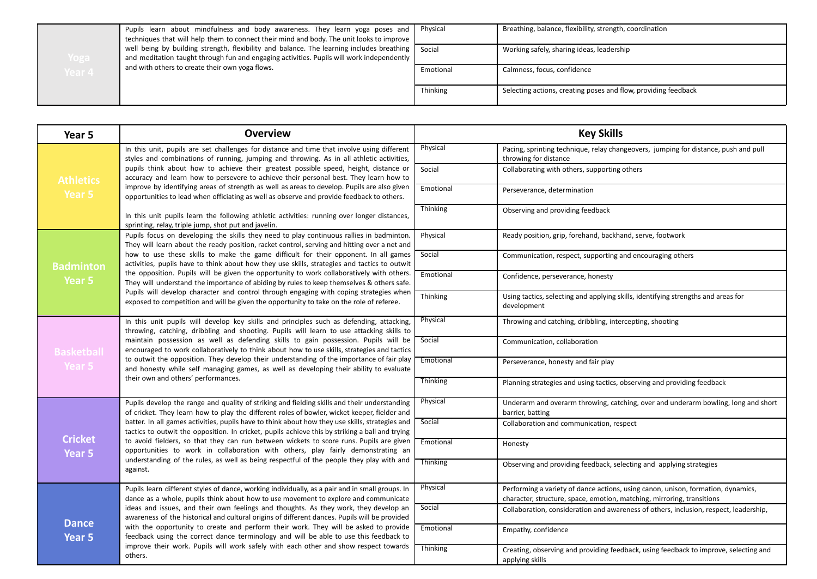| Yoga   | Pupils learn about mindfulness and body awareness. They learn yoga poses and<br>techniques that will help them to connect their mind and body. The unit looks to improve                        | Physical  | Breathing, balance, flexibility, strength, coordination        |
|--------|-------------------------------------------------------------------------------------------------------------------------------------------------------------------------------------------------|-----------|----------------------------------------------------------------|
|        | well being by building strength, flexibility and balance. The learning includes breathing   Social<br>and meditation taught through fun and engaging activities. Pupils will work independently |           | Working safely, sharing ideas, leadership                      |
| Year 4 | and with others to create their own yoga flows.                                                                                                                                                 | Emotional | Calmness, focus, confidence                                    |
|        |                                                                                                                                                                                                 | Thinking  | Selecting actions, creating poses and flow, providing feedback |

| Year 5                            | <b>Overview</b>                                                                                                                                                                                                                                                                                                                                                                                                                                                                           | <b>Key Skills</b> |                                                                                                                                                            |
|-----------------------------------|-------------------------------------------------------------------------------------------------------------------------------------------------------------------------------------------------------------------------------------------------------------------------------------------------------------------------------------------------------------------------------------------------------------------------------------------------------------------------------------------|-------------------|------------------------------------------------------------------------------------------------------------------------------------------------------------|
|                                   | In this unit, pupils are set challenges for distance and time that involve using different<br>styles and combinations of running, jumping and throwing. As in all athletic activities,                                                                                                                                                                                                                                                                                                    | Physical          | Pacing, sprinting technique, relay changeovers, jumping for distance, push and pull<br>throwing for distance                                               |
| <b>Athletics</b>                  | pupils think about how to achieve their greatest possible speed, height, distance or<br>accuracy and learn how to persevere to achieve their personal best. They learn how to                                                                                                                                                                                                                                                                                                             | Social            | Collaborating with others, supporting others                                                                                                               |
| Year 5                            | improve by identifying areas of strength as well as areas to develop. Pupils are also given<br>opportunities to lead when officiating as well as observe and provide feedback to others.                                                                                                                                                                                                                                                                                                  | Emotional         | Perseverance, determination                                                                                                                                |
|                                   | In this unit pupils learn the following athletic activities: running over longer distances,<br>sprinting, relay, triple jump, shot put and javelin.                                                                                                                                                                                                                                                                                                                                       | Thinking          | Observing and providing feedback                                                                                                                           |
|                                   | Pupils focus on developing the skills they need to play continuous rallies in badminton.<br>They will learn about the ready position, racket control, serving and hitting over a net and                                                                                                                                                                                                                                                                                                  | Physical          | Ready position, grip, forehand, backhand, serve, footwork                                                                                                  |
| <b>Badminton</b>                  | how to use these skills to make the game difficult for their opponent. In all games<br>activities, pupils have to think about how they use skills, strategies and tactics to outwit                                                                                                                                                                                                                                                                                                       | Social            | Communication, respect, supporting and encouraging others                                                                                                  |
| Year 5                            | the opposition. Pupils will be given the opportunity to work collaboratively with others.<br>They will understand the importance of abiding by rules to keep themselves & others safe.                                                                                                                                                                                                                                                                                                    | Emotional         | Confidence, perseverance, honesty                                                                                                                          |
|                                   | Pupils will develop character and control through engaging with coping strategies when<br>exposed to competition and will be given the opportunity to take on the role of referee.                                                                                                                                                                                                                                                                                                        | Thinking          | Using tactics, selecting and applying skills, identifying strengths and areas for<br>development                                                           |
|                                   | In this unit pupils will develop key skills and principles such as defending, attacking,<br>throwing, catching, dribbling and shooting. Pupils will learn to use attacking skills to                                                                                                                                                                                                                                                                                                      | Physical          | Throwing and catching, dribbling, intercepting, shooting                                                                                                   |
| <b>Basketball</b>                 | maintain possession as well as defending skills to gain possession. Pupils will be<br>encouraged to work collaboratively to think about how to use skills, strategies and tactics<br>to outwit the opposition. They develop their understanding of the importance of fair play<br>and honesty while self managing games, as well as developing their ability to evaluate<br>their own and others' performances.                                                                           | Social            | Communication, collaboration                                                                                                                               |
| Year 5                            |                                                                                                                                                                                                                                                                                                                                                                                                                                                                                           | Emotional         | Perseverance, honesty and fair play                                                                                                                        |
|                                   |                                                                                                                                                                                                                                                                                                                                                                                                                                                                                           | Thinking          | Planning strategies and using tactics, observing and providing feedback                                                                                    |
|                                   | Pupils develop the range and quality of striking and fielding skills and their understanding<br>of cricket. They learn how to play the different roles of bowler, wicket keeper, fielder and                                                                                                                                                                                                                                                                                              | Physical          | Underarm and overarm throwing, catching, over and underarm bowling, long and short<br>barrier, batting                                                     |
|                                   | batter. In all games activities, pupils have to think about how they use skills, strategies and<br>tactics to outwit the opposition. In cricket, pupils achieve this by striking a ball and trying<br>to avoid fielders, so that they can run between wickets to score runs. Pupils are given<br>opportunities to work in collaboration with others, play fairly demonstrating an<br>understanding of the rules, as well as being respectful of the people they play with and<br>against. | Social            | Collaboration and communication, respect                                                                                                                   |
| <b>Cricket</b><br>Year 5          |                                                                                                                                                                                                                                                                                                                                                                                                                                                                                           | Emotional         | Honesty                                                                                                                                                    |
|                                   |                                                                                                                                                                                                                                                                                                                                                                                                                                                                                           | Thinking          | Observing and providing feedback, selecting and applying strategies                                                                                        |
|                                   | Pupils learn different styles of dance, working individually, as a pair and in small groups. In<br>dance as a whole, pupils think about how to use movement to explore and communicate                                                                                                                                                                                                                                                                                                    | Physical          | Performing a variety of dance actions, using canon, unison, formation, dynamics,<br>character, structure, space, emotion, matching, mirroring, transitions |
|                                   | ideas and issues, and their own feelings and thoughts. As they work, they develop an<br>awareness of the historical and cultural origins of different dances. Pupils will be provided                                                                                                                                                                                                                                                                                                     | Social            | Collaboration, consideration and awareness of others, inclusion, respect, leadership,                                                                      |
| <b>Dance</b><br>Year <sub>5</sub> | with the opportunity to create and perform their work. They will be asked to provide<br>feedback using the correct dance terminology and will be able to use this feedback to                                                                                                                                                                                                                                                                                                             | Emotional         | Empathy, confidence                                                                                                                                        |
|                                   | improve their work. Pupils will work safely with each other and show respect towards<br>others.                                                                                                                                                                                                                                                                                                                                                                                           | Thinking          | Creating, observing and providing feedback, using feedback to improve, selecting and<br>applying skills                                                    |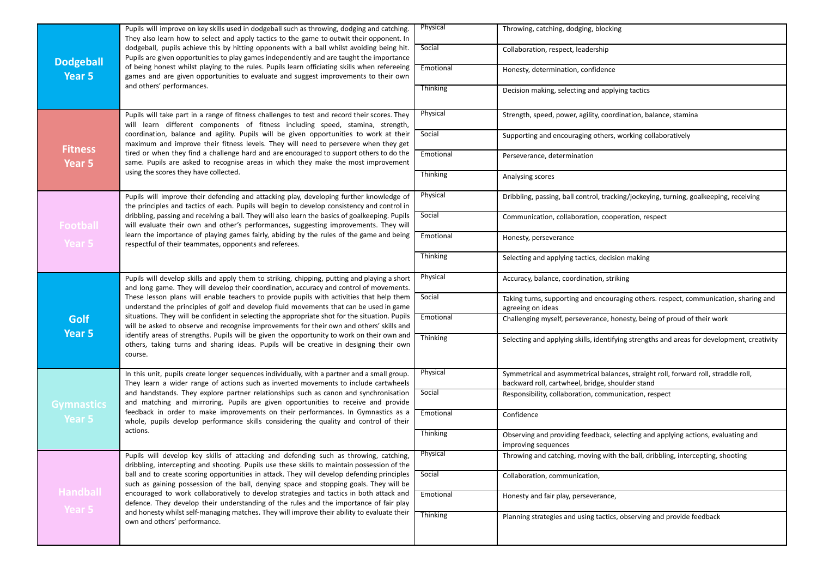| <b>Dodgeball</b>  | Pupils will improve on key skills used in dodgeball such as throwing, dodging and catching.<br>They also learn how to select and apply tactics to the game to outwit their opponent. In<br>dodgeball, pupils achieve this by hitting opponents with a ball whilst avoiding being hit.<br>Pupils are given opportunities to play games independently and are taught the importance                                                                                                                                                                                                                                                                                                                                                                                              | Physical        | Throwing, catching, dodging, blocking                                                                                                  |
|-------------------|--------------------------------------------------------------------------------------------------------------------------------------------------------------------------------------------------------------------------------------------------------------------------------------------------------------------------------------------------------------------------------------------------------------------------------------------------------------------------------------------------------------------------------------------------------------------------------------------------------------------------------------------------------------------------------------------------------------------------------------------------------------------------------|-----------------|----------------------------------------------------------------------------------------------------------------------------------------|
|                   |                                                                                                                                                                                                                                                                                                                                                                                                                                                                                                                                                                                                                                                                                                                                                                                | Social          | Collaboration, respect, leadership                                                                                                     |
| Year 5            | of being honest whilst playing to the rules. Pupils learn officiating skills when refereeing<br>games and are given opportunities to evaluate and suggest improvements to their own                                                                                                                                                                                                                                                                                                                                                                                                                                                                                                                                                                                            | Emotional       | Honesty, determination, confidence                                                                                                     |
|                   | and others' performances.                                                                                                                                                                                                                                                                                                                                                                                                                                                                                                                                                                                                                                                                                                                                                      | <b>Thinking</b> | Decision making, selecting and applying tactics                                                                                        |
|                   | Pupils will take part in a range of fitness challenges to test and record their scores. They<br>will learn different components of fitness including speed, stamina, strength,                                                                                                                                                                                                                                                                                                                                                                                                                                                                                                                                                                                                 | Physical        | Strength, speed, power, agility, coordination, balance, stamina                                                                        |
| <b>Fitness</b>    | coordination, balance and agility. Pupils will be given opportunities to work at their<br>maximum and improve their fitness levels. They will need to persevere when they get                                                                                                                                                                                                                                                                                                                                                                                                                                                                                                                                                                                                  | Social          | Supporting and encouraging others, working collaboratively                                                                             |
| Year 5            | tired or when they find a challenge hard and are encouraged to support others to do the<br>same. Pupils are asked to recognise areas in which they make the most improvement                                                                                                                                                                                                                                                                                                                                                                                                                                                                                                                                                                                                   | Emotional       | Perseverance, determination                                                                                                            |
|                   | using the scores they have collected.                                                                                                                                                                                                                                                                                                                                                                                                                                                                                                                                                                                                                                                                                                                                          | <b>Thinking</b> | Analysing scores                                                                                                                       |
|                   | Pupils will improve their defending and attacking play, developing further knowledge of<br>the principles and tactics of each. Pupils will begin to develop consistency and control in                                                                                                                                                                                                                                                                                                                                                                                                                                                                                                                                                                                         | Physical        | Dribbling, passing, ball control, tracking/jockeying, turning, goalkeeping, receiving                                                  |
| <b>Football</b>   | dribbling, passing and receiving a ball. They will also learn the basics of goalkeeping. Pupils<br>will evaluate their own and other's performances, suggesting improvements. They will<br>learn the importance of playing games fairly, abiding by the rules of the game and being<br>respectful of their teammates, opponents and referees.                                                                                                                                                                                                                                                                                                                                                                                                                                  | Social          | Communication, collaboration, cooperation, respect                                                                                     |
| Year 5            |                                                                                                                                                                                                                                                                                                                                                                                                                                                                                                                                                                                                                                                                                                                                                                                | Emotional       | Honesty, perseverance                                                                                                                  |
|                   |                                                                                                                                                                                                                                                                                                                                                                                                                                                                                                                                                                                                                                                                                                                                                                                | Thinking        | Selecting and applying tactics, decision making                                                                                        |
|                   | Pupils will develop skills and apply them to striking, chipping, putting and playing a short<br>and long game. They will develop their coordination, accuracy and control of movements.<br>These lesson plans will enable teachers to provide pupils with activities that help them<br>understand the principles of golf and develop fluid movements that can be used in game<br>situations. They will be confident in selecting the appropriate shot for the situation. Pupils<br>will be asked to observe and recognise improvements for their own and others' skills and<br>identify areas of strengths. Pupils will be given the opportunity to work on their own and<br>others, taking turns and sharing ideas. Pupils will be creative in designing their own<br>course. | Physical        | Accuracy, balance, coordination, striking                                                                                              |
|                   |                                                                                                                                                                                                                                                                                                                                                                                                                                                                                                                                                                                                                                                                                                                                                                                | Social          | Taking turns, supporting and encouraging others. respect, communication, sharing and<br>agreeing on ideas                              |
| Golf              |                                                                                                                                                                                                                                                                                                                                                                                                                                                                                                                                                                                                                                                                                                                                                                                | Emotional       | Challenging myself, perseverance, honesty, being of proud of their work                                                                |
| Year 5            |                                                                                                                                                                                                                                                                                                                                                                                                                                                                                                                                                                                                                                                                                                                                                                                | Thinking        | Selecting and applying skills, identifying strengths and areas for development, creativity                                             |
|                   | In this unit, pupils create longer sequences individually, with a partner and a small group.<br>They learn a wider range of actions such as inverted movements to include cartwheels                                                                                                                                                                                                                                                                                                                                                                                                                                                                                                                                                                                           | Physical        | Symmetrical and asymmetrical balances, straight roll, forward roll, straddle roll,<br>backward roll, cartwheel, bridge, shoulder stand |
| <b>Gymnastics</b> | and handstands. They explore partner relationships such as canon and synchronisation<br>and matching and mirroring. Pupils are given opportunities to receive and provide<br>feedback in order to make improvements on their performances. In Gymnastics as a<br>whole, pupils develop performance skills considering the quality and control of their<br>actions.                                                                                                                                                                                                                                                                                                                                                                                                             | Social          | Responsibility, collaboration, communication, respect                                                                                  |
| <b>Year 5</b>     |                                                                                                                                                                                                                                                                                                                                                                                                                                                                                                                                                                                                                                                                                                                                                                                | Emotional       | Confidence                                                                                                                             |
|                   |                                                                                                                                                                                                                                                                                                                                                                                                                                                                                                                                                                                                                                                                                                                                                                                | <b>Thinking</b> | Observing and providing feedback, selecting and applying actions, evaluating and<br>improving sequences                                |
|                   | Pupils will develop key skills of attacking and defending such as throwing, catching,<br>dribbling, intercepting and shooting. Pupils use these skills to maintain possession of the                                                                                                                                                                                                                                                                                                                                                                                                                                                                                                                                                                                           | Physical        | Throwing and catching, moving with the ball, dribbling, intercepting, shooting                                                         |
|                   | ball and to create scoring opportunities in attack. They will develop defending principles<br>such as gaining possession of the ball, denying space and stopping goals. They will be                                                                                                                                                                                                                                                                                                                                                                                                                                                                                                                                                                                           | Social          | Collaboration, communication,                                                                                                          |
| <b>Handball</b>   | encouraged to work collaboratively to develop strategies and tactics in both attack and<br>defence. They develop their understanding of the rules and the importance of fair play                                                                                                                                                                                                                                                                                                                                                                                                                                                                                                                                                                                              | Emotional       | Honesty and fair play, perseverance,                                                                                                   |
| Year 5            | and honesty whilst self-managing matches. They will improve their ability to evaluate their<br>own and others' performance.                                                                                                                                                                                                                                                                                                                                                                                                                                                                                                                                                                                                                                                    | Thinking        | Planning strategies and using tactics, observing and provide feedback                                                                  |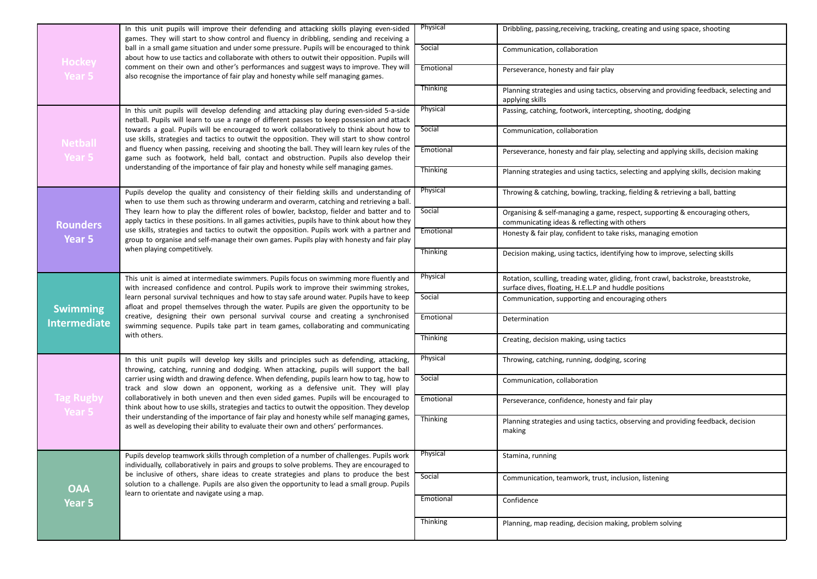| Hockey<br>Year 5           | In this unit pupils will improve their defending and attacking skills playing even-sided<br>games. They will start to show control and fluency in dribbling, sending and receiving a<br>ball in a small game situation and under some pressure. Pupils will be encouraged to think<br>about how to use tactics and collaborate with others to outwit their opposition. Pupils will                                                                                                                                                                                                                                                                                                                                                          | Physical        | Dribbling, passing, receiving, tracking, creating and using space, shooting                                                                  |
|----------------------------|---------------------------------------------------------------------------------------------------------------------------------------------------------------------------------------------------------------------------------------------------------------------------------------------------------------------------------------------------------------------------------------------------------------------------------------------------------------------------------------------------------------------------------------------------------------------------------------------------------------------------------------------------------------------------------------------------------------------------------------------|-----------------|----------------------------------------------------------------------------------------------------------------------------------------------|
|                            |                                                                                                                                                                                                                                                                                                                                                                                                                                                                                                                                                                                                                                                                                                                                             | Social          | Communication, collaboration                                                                                                                 |
|                            | comment on their own and other's performances and suggest ways to improve. They will<br>also recognise the importance of fair play and honesty while self managing games.                                                                                                                                                                                                                                                                                                                                                                                                                                                                                                                                                                   | Emotional       | Perseverance, honesty and fair play                                                                                                          |
|                            |                                                                                                                                                                                                                                                                                                                                                                                                                                                                                                                                                                                                                                                                                                                                             | Thinking        | Planning strategies and using tactics, observing and providing feedback, selecting and<br>applying skills                                    |
|                            | In this unit pupils will develop defending and attacking play during even-sided 5-a-side<br>netball. Pupils will learn to use a range of different passes to keep possession and attack                                                                                                                                                                                                                                                                                                                                                                                                                                                                                                                                                     | Physical        | Passing, catching, footwork, intercepting, shooting, dodging                                                                                 |
| <b>Netball</b>             | towards a goal. Pupils will be encouraged to work collaboratively to think about how to<br>use skills, strategies and tactics to outwit the opposition. They will start to show control                                                                                                                                                                                                                                                                                                                                                                                                                                                                                                                                                     | Social          | Communication, collaboration                                                                                                                 |
| Year 5                     | and fluency when passing, receiving and shooting the ball. They will learn key rules of the<br>game such as footwork, held ball, contact and obstruction. Pupils also develop their                                                                                                                                                                                                                                                                                                                                                                                                                                                                                                                                                         | Emotional       | Perseverance, honesty and fair play, selecting and applying skills, decision making                                                          |
|                            | understanding of the importance of fair play and honesty while self managing games.                                                                                                                                                                                                                                                                                                                                                                                                                                                                                                                                                                                                                                                         | <b>Thinking</b> | Planning strategies and using tactics, selecting and applying skills, decision making                                                        |
|                            | Pupils develop the quality and consistency of their fielding skills and understanding of<br>when to use them such as throwing underarm and overarm, catching and retrieving a ball.                                                                                                                                                                                                                                                                                                                                                                                                                                                                                                                                                         | Physical        | Throwing & catching, bowling, tracking, fielding & retrieving a ball, batting                                                                |
| <b>Rounders</b>            | They learn how to play the different roles of bowler, backstop, fielder and batter and to<br>apply tactics in these positions. In all games activities, pupils have to think about how they                                                                                                                                                                                                                                                                                                                                                                                                                                                                                                                                                 | Social          | Organising & self-managing a game, respect, supporting & encouraging others,<br>communicating ideas & reflecting with others                 |
| Year 5                     | use skills, strategies and tactics to outwit the opposition. Pupils work with a partner and<br>group to organise and self-manage their own games. Pupils play with honesty and fair play<br>when playing competitively.                                                                                                                                                                                                                                                                                                                                                                                                                                                                                                                     | Emotional       | Honesty & fair play, confident to take risks, managing emotion                                                                               |
|                            |                                                                                                                                                                                                                                                                                                                                                                                                                                                                                                                                                                                                                                                                                                                                             | Thinking        | Decision making, using tactics, identifying how to improve, selecting skills                                                                 |
|                            | This unit is aimed at intermediate swimmers. Pupils focus on swimming more fluently and<br>with increased confidence and control. Pupils work to improve their swimming strokes,                                                                                                                                                                                                                                                                                                                                                                                                                                                                                                                                                            | Physical        | Rotation, sculling, treading water, gliding, front crawl, backstroke, breaststroke,<br>surface dives, floating, H.E.L.P and huddle positions |
| <b>Swimming</b>            | learn personal survival techniques and how to stay safe around water. Pupils have to keep<br>afloat and propel themselves through the water. Pupils are given the opportunity to be<br>creative, designing their own personal survival course and creating a synchronised<br>swimming sequence. Pupils take part in team games, collaborating and communicating<br>with others.                                                                                                                                                                                                                                                                                                                                                             | Social          | Communication, supporting and encouraging others                                                                                             |
| <b>Intermediate</b>        |                                                                                                                                                                                                                                                                                                                                                                                                                                                                                                                                                                                                                                                                                                                                             | Emotional       | Determination                                                                                                                                |
|                            |                                                                                                                                                                                                                                                                                                                                                                                                                                                                                                                                                                                                                                                                                                                                             | Thinking        | Creating, decision making, using tactics                                                                                                     |
|                            | In this unit pupils will develop key skills and principles such as defending, attacking,<br>throwing, catching, running and dodging. When attacking, pupils will support the ball<br>carrier using width and drawing defence. When defending, pupils learn how to tag, how to<br>track and slow down an opponent, working as a defensive unit. They will play<br>collaboratively in both uneven and then even sided games. Pupils will be encouraged to<br>think about how to use skills, strategies and tactics to outwit the opposition. They develop<br>their understanding of the importance of fair play and honesty while self managing games,<br>as well as developing their ability to evaluate their own and others' performances. | Physical        | Throwing, catching, running, dodging, scoring                                                                                                |
|                            |                                                                                                                                                                                                                                                                                                                                                                                                                                                                                                                                                                                                                                                                                                                                             | Social          | Communication, collaboration                                                                                                                 |
| <b>Tag Rugby</b><br>Year 5 |                                                                                                                                                                                                                                                                                                                                                                                                                                                                                                                                                                                                                                                                                                                                             | Emotional       | Perseverance, confidence, honesty and fair play                                                                                              |
|                            |                                                                                                                                                                                                                                                                                                                                                                                                                                                                                                                                                                                                                                                                                                                                             | Thinking        | Planning strategies and using tactics, observing and providing feedback, decision<br>making                                                  |
| <b>OAA</b>                 | Pupils develop teamwork skills through completion of a number of challenges. Pupils work<br>individually, collaboratively in pairs and groups to solve problems. They are encouraged to                                                                                                                                                                                                                                                                                                                                                                                                                                                                                                                                                     | Physical        | Stamina, running                                                                                                                             |
|                            | be inclusive of others, share ideas to create strategies and plans to produce the best<br>solution to a challenge. Pupils are also given the opportunity to lead a small group. Pupils                                                                                                                                                                                                                                                                                                                                                                                                                                                                                                                                                      | Social          | Communication, teamwork, trust, inclusion, listening                                                                                         |
| Year 5                     | learn to orientate and navigate using a map.                                                                                                                                                                                                                                                                                                                                                                                                                                                                                                                                                                                                                                                                                                | Emotional       | Confidence                                                                                                                                   |
|                            |                                                                                                                                                                                                                                                                                                                                                                                                                                                                                                                                                                                                                                                                                                                                             | Thinking        | Planning, map reading, decision making, problem solving                                                                                      |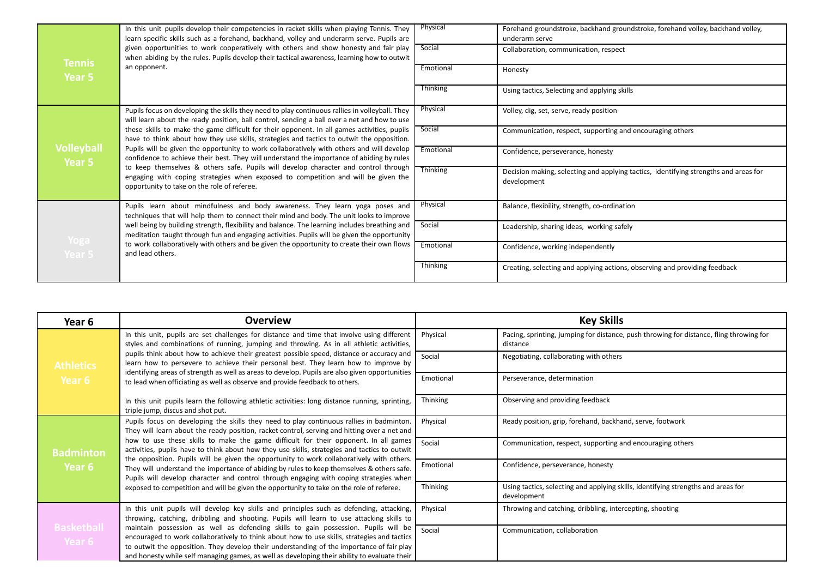|                             | In this unit pupils develop their competencies in racket skills when playing Tennis. They<br>learn specific skills such as a forehand, backhand, volley and underarm serve. Pupils are<br>given opportunities to work cooperatively with others and show honesty and fair play<br>when abiding by the rules. Pupils develop their tactical awareness, learning how to outwit<br>an opponent. | Physical        | Forehand groundstroke, backhand groundstroke, forehand volley, backhand volley,<br>underarm serve   |
|-----------------------------|----------------------------------------------------------------------------------------------------------------------------------------------------------------------------------------------------------------------------------------------------------------------------------------------------------------------------------------------------------------------------------------------|-----------------|-----------------------------------------------------------------------------------------------------|
| Tennis                      |                                                                                                                                                                                                                                                                                                                                                                                              | Social          | Collaboration, communication, respect                                                               |
| Year 5                      |                                                                                                                                                                                                                                                                                                                                                                                              | Emotional       | Honesty                                                                                             |
|                             |                                                                                                                                                                                                                                                                                                                                                                                              | Thinking        | Using tactics, Selecting and applying skills                                                        |
|                             | Pupils focus on developing the skills they need to play continuous rallies in volleyball. They<br>will learn about the ready position, ball control, sending a ball over a net and how to use                                                                                                                                                                                                | Physical        | Volley, dig, set, serve, ready position                                                             |
|                             | these skills to make the game difficult for their opponent. In all games activities, pupils<br>have to think about how they use skills, strategies and tactics to outwit the opposition.                                                                                                                                                                                                     | Social          | Communication, respect, supporting and encouraging others                                           |
| <b>Volleyball</b><br>Year 5 | Pupils will be given the opportunity to work collaboratively with others and will develop<br>confidence to achieve their best. They will understand the importance of abiding by rules                                                                                                                                                                                                       | Emotional       | Confidence, perseverance, honesty                                                                   |
|                             | to keep themselves & others safe. Pupils will develop character and control through<br>engaging with coping strategies when exposed to competition and will be given the<br>opportunity to take on the role of referee.                                                                                                                                                                      | <b>Thinking</b> | Decision making, selecting and applying tactics, identifying strengths and areas for<br>development |
|                             | Pupils learn about mindfulness and body awareness. They learn yoga poses and<br>techniques that will help them to connect their mind and body. The unit looks to improve                                                                                                                                                                                                                     | Physical        | Balance, flexibility, strength, co-ordination                                                       |
|                             | well being by building strength, flexibility and balance. The learning includes breathing and<br>meditation taught through fun and engaging activities. Pupils will be given the opportunity                                                                                                                                                                                                 | Social          | Leadership, sharing ideas, working safely                                                           |
| Yoga<br>Year 5              | to work collaboratively with others and be given the opportunity to create their own flows<br>and lead others.                                                                                                                                                                                                                                                                               | Emotional       | Confidence, working independently                                                                   |
|                             |                                                                                                                                                                                                                                                                                                                                                                                              | Thinking        | Creating, selecting and applying actions, observing and providing feedback                          |

| Year 6                      | <b>Overview</b>                                                                                                                                                                                                                                                                                                                                                                                                                                                                                                                                                                                                                                                                                                                                                 | <b>Key Skills</b> |                                                                                                     |
|-----------------------------|-----------------------------------------------------------------------------------------------------------------------------------------------------------------------------------------------------------------------------------------------------------------------------------------------------------------------------------------------------------------------------------------------------------------------------------------------------------------------------------------------------------------------------------------------------------------------------------------------------------------------------------------------------------------------------------------------------------------------------------------------------------------|-------------------|-----------------------------------------------------------------------------------------------------|
|                             | In this unit, pupils are set challenges for distance and time that involve using different<br>styles and combinations of running, jumping and throwing. As in all athletic activities,                                                                                                                                                                                                                                                                                                                                                                                                                                                                                                                                                                          | Physical          | Pacing, sprinting, jumping for distance, push throwing for distance, fling throwing for<br>distance |
| <b>Athletics</b>            | pupils think about how to achieve their greatest possible speed, distance or accuracy and<br>learn how to persevere to achieve their personal best. They learn how to improve by                                                                                                                                                                                                                                                                                                                                                                                                                                                                                                                                                                                | Social            | Negotiating, collaborating with others                                                              |
| Year 6                      | identifying areas of strength as well as areas to develop. Pupils are also given opportunities<br>to lead when officiating as well as observe and provide feedback to others.                                                                                                                                                                                                                                                                                                                                                                                                                                                                                                                                                                                   | Emotional         | Perseverance, determination                                                                         |
|                             | In this unit pupils learn the following athletic activities: long distance running, sprinting,<br>triple jump, discus and shot put.                                                                                                                                                                                                                                                                                                                                                                                                                                                                                                                                                                                                                             | Thinking          | Observing and providing feedback                                                                    |
|                             | Pupils focus on developing the skills they need to play continuous rallies in badminton.<br>They will learn about the ready position, racket control, serving and hitting over a net and<br>how to use these skills to make the game difficult for their opponent. In all games<br>activities, pupils have to think about how they use skills, strategies and tactics to outwit<br>the opposition. Pupils will be given the opportunity to work collaboratively with others.<br>They will understand the importance of abiding by rules to keep themselves & others safe.<br>Pupils will develop character and control through engaging with coping strategies when<br>exposed to competition and will be given the opportunity to take on the role of referee. | Physical          | Ready position, grip, forehand, backhand, serve, footwork                                           |
| <b>Badminton</b>            |                                                                                                                                                                                                                                                                                                                                                                                                                                                                                                                                                                                                                                                                                                                                                                 | Social            | Communication, respect, supporting and encouraging others                                           |
| Year 6                      |                                                                                                                                                                                                                                                                                                                                                                                                                                                                                                                                                                                                                                                                                                                                                                 | Emotional         | Confidence, perseverance, honesty                                                                   |
|                             |                                                                                                                                                                                                                                                                                                                                                                                                                                                                                                                                                                                                                                                                                                                                                                 | Thinking          | Using tactics, selecting and applying skills, identifying strengths and areas for<br>development    |
|                             | In this unit pupils will develop key skills and principles such as defending, attacking,<br>throwing, catching, dribbling and shooting. Pupils will learn to use attacking skills to                                                                                                                                                                                                                                                                                                                                                                                                                                                                                                                                                                            | Physical          | Throwing and catching, dribbling, intercepting, shooting                                            |
| <b>Basketball</b><br>Year 6 | maintain possession as well as defending skills to gain possession. Pupils will be<br>encouraged to work collaboratively to think about how to use skills, strategies and tactics<br>to outwit the opposition. They develop their understanding of the importance of fair play<br>and honesty while self managing games, as well as developing their ability to evaluate their                                                                                                                                                                                                                                                                                                                                                                                  | Social            | Communication, collaboration                                                                        |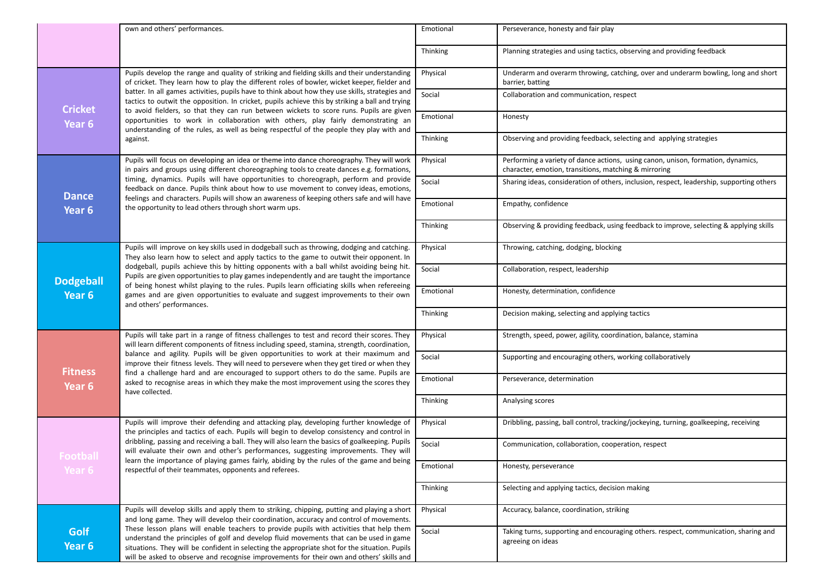|                       | own and others' performances.                                                                                                                                                                                                                                                                                                                                                                              | Emotional | Perseverance, honesty and fair play                                                                                                       |
|-----------------------|------------------------------------------------------------------------------------------------------------------------------------------------------------------------------------------------------------------------------------------------------------------------------------------------------------------------------------------------------------------------------------------------------------|-----------|-------------------------------------------------------------------------------------------------------------------------------------------|
|                       |                                                                                                                                                                                                                                                                                                                                                                                                            | Thinking  | Planning strategies and using tactics, observing and providing feedback                                                                   |
|                       | Pupils develop the range and quality of striking and fielding skills and their understanding<br>of cricket. They learn how to play the different roles of bowler, wicket keeper, fielder and                                                                                                                                                                                                               | Physical  | Underarm and overarm throwing, catching, over and underarm bowling, long and short<br>barrier, batting                                    |
| <b>Cricket</b>        | batter. In all games activities, pupils have to think about how they use skills, strategies and<br>tactics to outwit the opposition. In cricket, pupils achieve this by striking a ball and trying                                                                                                                                                                                                         | Social    | Collaboration and communication, respect                                                                                                  |
| Year 6                | to avoid fielders, so that they can run between wickets to score runs. Pupils are given<br>opportunities to work in collaboration with others, play fairly demonstrating an<br>understanding of the rules, as well as being respectful of the people they play with and                                                                                                                                    | Emotional | Honesty                                                                                                                                   |
|                       | against.                                                                                                                                                                                                                                                                                                                                                                                                   | Thinking  | Observing and providing feedback, selecting and applying strategies                                                                       |
|                       | Pupils will focus on developing an idea or theme into dance choreography. They will work<br>in pairs and groups using different choreographing tools to create dances e.g. formations,                                                                                                                                                                                                                     | Physical  | Performing a variety of dance actions, using canon, unison, formation, dynamics,<br>character, emotion, transitions, matching & mirroring |
| <b>Dance</b>          | timing, dynamics. Pupils will have opportunities to choreograph, perform and provide<br>feedback on dance. Pupils think about how to use movement to convey ideas, emotions,<br>feelings and characters. Pupils will show an awareness of keeping others safe and will have                                                                                                                                | Social    | Sharing ideas, consideration of others, inclusion, respect, leadership, supporting others                                                 |
| Year <sub>6</sub>     | the opportunity to lead others through short warm ups.                                                                                                                                                                                                                                                                                                                                                     | Emotional | Empathy, confidence                                                                                                                       |
|                       |                                                                                                                                                                                                                                                                                                                                                                                                            | Thinking  | Observing & providing feedback, using feedback to improve, selecting & applying skills                                                    |
|                       | Pupils will improve on key skills used in dodgeball such as throwing, dodging and catching.<br>They also learn how to select and apply tactics to the game to outwit their opponent. In                                                                                                                                                                                                                    | Physical  | Throwing, catching, dodging, blocking                                                                                                     |
| <b>Dodgeball</b>      | dodgeball, pupils achieve this by hitting opponents with a ball whilst avoiding being hit.<br>Pupils are given opportunities to play games independently and are taught the importance<br>of being honest whilst playing to the rules. Pupils learn officiating skills when refereeing<br>games and are given opportunities to evaluate and suggest improvements to their own<br>and others' performances. | Social    | Collaboration, respect, leadership                                                                                                        |
| Year <sub>6</sub>     |                                                                                                                                                                                                                                                                                                                                                                                                            | Emotional | Honesty, determination, confidence                                                                                                        |
|                       |                                                                                                                                                                                                                                                                                                                                                                                                            | Thinking  | Decision making, selecting and applying tactics                                                                                           |
|                       | Pupils will take part in a range of fitness challenges to test and record their scores. They<br>will learn different components of fitness including speed, stamina, strength, coordination,                                                                                                                                                                                                               | Physical  | Strength, speed, power, agility, coordination, balance, stamina                                                                           |
| <b>Fitness</b>        | balance and agility. Pupils will be given opportunities to work at their maximum and<br>improve their fitness levels. They will need to persevere when they get tired or when they<br>find a challenge hard and are encouraged to support others to do the same. Pupils are                                                                                                                                | Social    | Supporting and encouraging others, working collaboratively                                                                                |
| Year 6                | asked to recognise areas in which they make the most improvement using the scores they<br>have collected.                                                                                                                                                                                                                                                                                                  | Emotional | Perseverance, determination                                                                                                               |
|                       |                                                                                                                                                                                                                                                                                                                                                                                                            | Thinking  | Analysing scores                                                                                                                          |
|                       | Pupils will improve their defending and attacking play, developing further knowledge of<br>the principles and tactics of each. Pupils will begin to develop consistency and control in                                                                                                                                                                                                                     | Physical  | Dribbling, passing, ball control, tracking/jockeying, turning, goalkeeping, receiving                                                     |
|                       | dribbling, passing and receiving a ball. They will also learn the basics of goalkeeping. Pupils<br>will evaluate their own and other's performances, suggesting improvements. They will<br>learn the importance of playing games fairly, abiding by the rules of the game and being<br>respectful of their teammates, opponents and referees.                                                              | Social    | Communication, collaboration, cooperation, respect                                                                                        |
| Year 6                |                                                                                                                                                                                                                                                                                                                                                                                                            | Emotional | Honesty, perseverance                                                                                                                     |
|                       |                                                                                                                                                                                                                                                                                                                                                                                                            | Thinking  | Selecting and applying tactics, decision making                                                                                           |
|                       | Pupils will develop skills and apply them to striking, chipping, putting and playing a short<br>and long game. They will develop their coordination, accuracy and control of movements.                                                                                                                                                                                                                    | Physical  | Accuracy, balance, coordination, striking                                                                                                 |
| <b>Golf</b><br>Year 6 | These lesson plans will enable teachers to provide pupils with activities that help them<br>understand the principles of golf and develop fluid movements that can be used in game<br>situations. They will be confident in selecting the appropriate shot for the situation. Pupils<br>will be asked to observe and recognise improvements for their own and others' skills and                           | Social    | Taking turns, supporting and encouraging others, respect, communication, sharing and<br>agreeing on ideas                                 |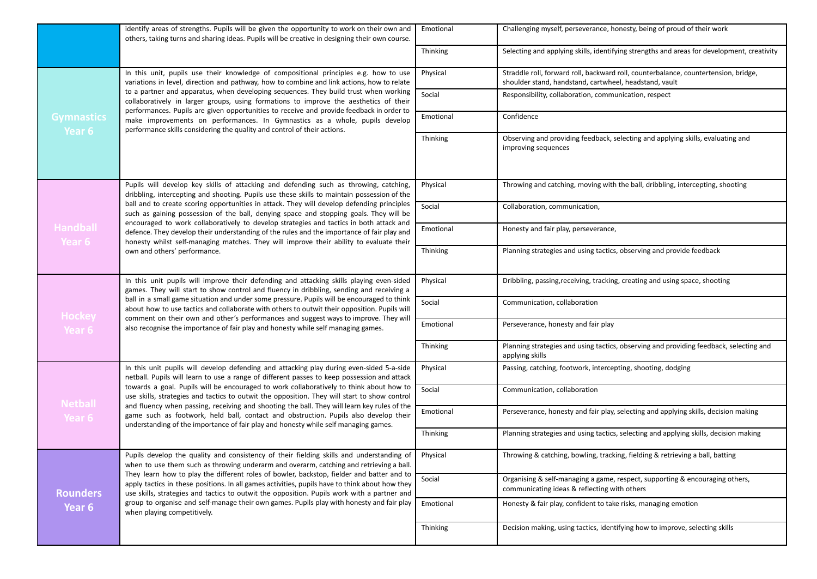|                             | identify areas of strengths. Pupils will be given the opportunity to work on their own and<br>others, taking turns and sharing ideas. Pupils will be creative in designing their own course.                                                                                                                                                                                                                                                                                                                                                                                                                                                                                                     | Emotional | Challenging myself, perseverance, honesty, being of proud of their work                                                                       |
|-----------------------------|--------------------------------------------------------------------------------------------------------------------------------------------------------------------------------------------------------------------------------------------------------------------------------------------------------------------------------------------------------------------------------------------------------------------------------------------------------------------------------------------------------------------------------------------------------------------------------------------------------------------------------------------------------------------------------------------------|-----------|-----------------------------------------------------------------------------------------------------------------------------------------------|
|                             |                                                                                                                                                                                                                                                                                                                                                                                                                                                                                                                                                                                                                                                                                                  | Thinking  | Selecting and applying skills, identifying strengths and areas for development, creativity                                                    |
| <b>Gymnastics</b><br>Year 6 | In this unit, pupils use their knowledge of compositional principles e.g. how to use<br>variations in level, direction and pathway, how to combine and link actions, how to relate<br>to a partner and apparatus, when developing sequences. They build trust when working<br>collaboratively in larger groups, using formations to improve the aesthetics of their<br>performances. Pupils are given opportunities to receive and provide feedback in order to<br>make improvements on performances. In Gymnastics as a whole, pupils develop<br>performance skills considering the quality and control of their actions.                                                                       | Physical  | Straddle roll, forward roll, backward roll, counterbalance, countertension, bridge,<br>shoulder stand, handstand, cartwheel, headstand, vault |
|                             |                                                                                                                                                                                                                                                                                                                                                                                                                                                                                                                                                                                                                                                                                                  | Social    | Responsibility, collaboration, communication, respect                                                                                         |
|                             |                                                                                                                                                                                                                                                                                                                                                                                                                                                                                                                                                                                                                                                                                                  | Emotional | Confidence                                                                                                                                    |
|                             |                                                                                                                                                                                                                                                                                                                                                                                                                                                                                                                                                                                                                                                                                                  | Thinking  | Observing and providing feedback, selecting and applying skills, evaluating and<br>improving sequences                                        |
|                             | Pupils will develop key skills of attacking and defending such as throwing, catching,<br>dribbling, intercepting and shooting. Pupils use these skills to maintain possession of the<br>ball and to create scoring opportunities in attack. They will develop defending principles<br>such as gaining possession of the ball, denying space and stopping goals. They will be<br>encouraged to work collaboratively to develop strategies and tactics in both attack and<br>defence. They develop their understanding of the rules and the importance of fair play and<br>honesty whilst self-managing matches. They will improve their ability to evaluate their<br>own and others' performance. | Physical  | Throwing and catching, moving with the ball, dribbling, intercepting, shooting                                                                |
| <b>Handball</b><br>Year 6   |                                                                                                                                                                                                                                                                                                                                                                                                                                                                                                                                                                                                                                                                                                  | Social    | Collaboration, communication,                                                                                                                 |
|                             |                                                                                                                                                                                                                                                                                                                                                                                                                                                                                                                                                                                                                                                                                                  | Emotional | Honesty and fair play, perseverance,                                                                                                          |
|                             |                                                                                                                                                                                                                                                                                                                                                                                                                                                                                                                                                                                                                                                                                                  | Thinking  | Planning strategies and using tactics, observing and provide feedback                                                                         |
| <b>Hockey</b><br>Year 6     | In this unit pupils will improve their defending and attacking skills playing even-sided<br>games. They will start to show control and fluency in dribbling, sending and receiving a<br>ball in a small game situation and under some pressure. Pupils will be encouraged to think<br>about how to use tactics and collaborate with others to outwit their opposition. Pupils will<br>comment on their own and other's performances and suggest ways to improve. They will<br>also recognise the importance of fair play and honesty while self managing games.                                                                                                                                  | Physical  | Dribbling, passing, receiving, tracking, creating and using space, shooting                                                                   |
|                             |                                                                                                                                                                                                                                                                                                                                                                                                                                                                                                                                                                                                                                                                                                  | Social    | Communication, collaboration                                                                                                                  |
|                             |                                                                                                                                                                                                                                                                                                                                                                                                                                                                                                                                                                                                                                                                                                  | Emotional | Perseverance, honesty and fair play                                                                                                           |
|                             |                                                                                                                                                                                                                                                                                                                                                                                                                                                                                                                                                                                                                                                                                                  | Thinking  | Planning strategies and using tactics, observing and providing feedback, selecting and<br>applying skills                                     |
| <b>Netball</b><br>Year 6    | In this unit pupils will develop defending and attacking play during even-sided 5-a-side<br>netball. Pupils will learn to use a range of different passes to keep possession and attack<br>towards a goal. Pupils will be encouraged to work collaboratively to think about how to<br>use skills, strategies and tactics to outwit the opposition. They will start to show control<br>and fluency when passing, receiving and shooting the ball. They will learn key rules of the<br>game such as footwork, held ball, contact and obstruction. Pupils also develop their<br>understanding of the importance of fair play and honesty while self managing games.                                 | Physical  | Passing, catching, footwork, intercepting, shooting, dodging                                                                                  |
|                             |                                                                                                                                                                                                                                                                                                                                                                                                                                                                                                                                                                                                                                                                                                  | Social    | Communication, collaboration                                                                                                                  |
|                             |                                                                                                                                                                                                                                                                                                                                                                                                                                                                                                                                                                                                                                                                                                  | Emotional | Perseverance, honesty and fair play, selecting and applying skills, decision making                                                           |
|                             |                                                                                                                                                                                                                                                                                                                                                                                                                                                                                                                                                                                                                                                                                                  | Thinking  | Planning strategies and using tactics, selecting and applying skills, decision making                                                         |
| <b>Rounders</b><br>Year 6   | Pupils develop the quality and consistency of their fielding skills and understanding of<br>when to use them such as throwing underarm and overarm, catching and retrieving a ball.<br>They learn how to play the different roles of bowler, backstop, fielder and batter and to<br>apply tactics in these positions. In all games activities, pupils have to think about how they<br>use skills, strategies and tactics to outwit the opposition. Pupils work with a partner and<br>group to organise and self-manage their own games. Pupils play with honesty and fair play<br>when playing competitively.                                                                                    | Physical  | Throwing & catching, bowling, tracking, fielding & retrieving a ball, batting                                                                 |
|                             |                                                                                                                                                                                                                                                                                                                                                                                                                                                                                                                                                                                                                                                                                                  | Social    | Organising & self-managing a game, respect, supporting & encouraging others,<br>communicating ideas & reflecting with others                  |
|                             |                                                                                                                                                                                                                                                                                                                                                                                                                                                                                                                                                                                                                                                                                                  | Emotional | Honesty & fair play, confident to take risks, managing emotion                                                                                |
|                             |                                                                                                                                                                                                                                                                                                                                                                                                                                                                                                                                                                                                                                                                                                  | Thinking  | Decision making, using tactics, identifying how to improve, selecting skills                                                                  |